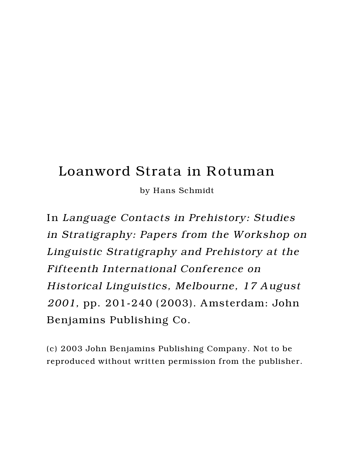# Loanword Strata in Rotuman

by Hans Schmidt

In Language Contacts in Prehistory: Studies in Stratigraphy: Papers from the Workshop on Linguistic Stratigraphy and Prehistory at the Fifteenth International Conference on Historical Linguistics, Melbourne, 17 August 2001, pp. 201-240 (2003). Amsterdam: John Benjamins Publishing Co.

(c) 2003 John Benjamins Publishing Company. Not to be reproduced without written permission from the publisher.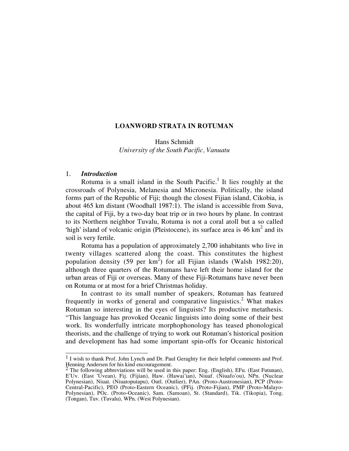#### **LOANWORD STRATA IN ROTUMAN**

# Hans Schmidt *University of the South Pacific, Vanuatu*

#### 1. *Introduction*

Rotuma is a small island in the South Pacific.<sup>1</sup> It lies roughly at the crossroads of Polynesia, Melanesia and Micronesia. Politically, the island forms part of the Republic of Fiji; though the closest Fijian island, Cikobia, is about 465 km distant (Woodhall 1987:1). The island is accessible from Suva, the capital of Fiji, by a two-day boat trip or in two hours by plane. In contrast to its Northern neighbor Tuvalu, Rotuma is not a coral atoll but a so called 'high' island of volcanic origin (Pleistocene), its surface area is  $46 \text{ km}^2$  and its soil is very fertile.

Rotuma has a population of approximately 2,700 inhabitants who live in twenty villages scattered along the coast. This constitutes the highest population density (59 per km<sup>2</sup>) for all Fijian islands (Walsh 1982:20), although three quarters of the Rotumans have left their home island for the urban areas of Fiji or overseas. Many of these Fiji-Rotumans have never been on Rotuma or at most for a brief Christmas holiday.

In contrast to its small number of speakers, Rotuman has featured frequently in works of general and comparative linguistics.<sup>2</sup> What makes Rotuman so interesting in the eyes of linguists? Its productive metathesis. "This language has provoked Oceanic linguists into doing some of their best work. Its wonderfully intricate morphophonology has teased phonological theorists, and the challenge of trying to work out Rotuman's historical position and development has had some important spin-offs for Oceanic historical

 <sup>1</sup> I wish to thank Prof. John Lynch and Dr. Paul Geraghty for their helpful comments and Prof.

Henning Andersen for his kind encouragement.<br><sup>2</sup> The following abbreviations will be used in this paper: Eng. (English), EFu. (East Futunan), E'Uv. (East 'Uvean), Fij. (Fijian), Haw. (Hawai'ian), Niuaf. (Niuafo'ou), NPn. (Nuclear Polynesian), Niuat. (Niuatoputapu), Outl. (Outlier), PAn. (Proto-Austronesian), PCP (Proto-Central-Pacific), PEO (Proto-Eastern Oceanic), (PFij. (Proto-Fijian), PMP (Proto-Malayo-Polynesian), POc. (Proto-Oceanic), Sam. (Samoan), St. (Standard), Tik. (Tikopia), Tong. (Tongan), Tuv. (Tuvalu), WPn. (West Polynesian).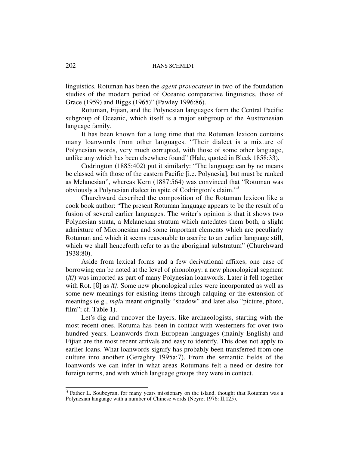linguistics. Rotuman has been the *agent provocateur* in two of the foundation studies of the modern period of Oceanic comparative linguistics, those of Grace (1959) and Biggs (1965)" (Pawley 1996:86).

Rotuman, Fijian, and the Polynesian languages form the Central Pacific subgroup of Oceanic, which itself is a major subgroup of the Austronesian language family.

It has been known for a long time that the Rotuman lexicon contains many loanwords from other languages. "Their dialect is a mixture of Polynesian words, very much corrupted, with those of some other language, unlike any which has been elsewhere found" (Hale, quoted in Bleek 1858:33).

Codrington (1885:402) put it similarly: "The language can by no means be classed with those of the eastern Pacific [i.e. Polynesia], but must be ranked as Melanesian", whereas Kern (1887:564) was convinced that "Rotuman was obviously a Polynesian dialect in spite of Codrington's claim."3

Churchward described the composition of the Rotuman lexicon like a cook book author: "The present Rotuman language appears to be the result of a fusion of several earlier languages. The writer's opinion is that it shows two Polynesian strata, a Melanesian stratum which antedates them both, a slight admixture of Micronesian and some important elements which are peculiarly Rotuman and which it seems reasonable to ascribe to an earlier language still, which we shall henceforth refer to as the aboriginal substratum" (Churchward 1938:80).

Aside from lexical forms and a few derivational affixes, one case of borrowing can be noted at the level of phonology: a new phonological segment (/f/) was imported as part of many Polynesian loanwords. Later it fell together with Rot.  $[0]$  as  $\pi/2$ . Some new phonological rules were incorporated as well as some new meanings for existing items through calquing or the extension of meanings (e.g., *malu* meant originally "shadow" and later also "picture, photo, film"; cf. Table 1).

Let's dig and uncover the layers, like archaeologists, starting with the most recent ones. Rotuma has been in contact with westerners for over two hundred years. Loanwords from European languages (mainly English) and Fijian are the most recent arrivals and easy to identify. This does not apply to earlier loans. What loanwords signify has probably been transferred from one culture into another (Geraghty 1995a:7). From the semantic fields of the loanwords we can infer in what areas Rotumans felt a need or desire for foreign terms, and with which language groups they were in contact.

 <sup>3</sup> Father L. Soubeyran, for many years missionary on the island, thought that Rotuman was a Polynesian language with a number of Chinese words (Neyret 1976: II,125).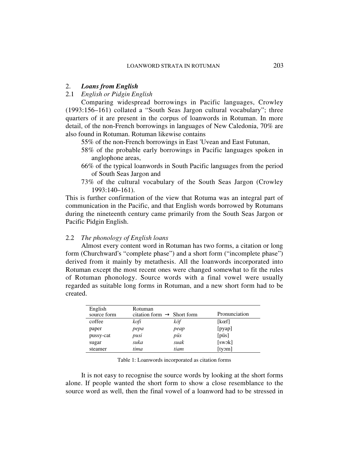# 2. *Loans from English*

# 2.1 *English or Pidgin English*

Comparing widespread borrowings in Pacific languages, Crowley (1993:156–161) collated a "South Seas Jargon cultural vocabulary"; three quarters of it are present in the corpus of loanwords in Rotuman. In more detail, of the non-French borrowings in languages of New Caledonia, 70% are also found in Rotuman. Rotuman likewise contains

55% of the non-French borrowings in East 'Uvean and East Futunan,

- 58% of the probable early borrowings in Pacific languages spoken in anglophone areas,
- 66% of the typical loanwords in South Pacific languages from the period of South Seas Jargon and
- 73% of the cultural vocabulary of the South Seas Jargon (Crowley 1993:140–161).

This is further confirmation of the view that Rotuma was an integral part of communication in the Pacific, and that English words borrowed by Rotumans during the nineteenth century came primarily from the South Seas Jargon or Pacific Pidgin English.

#### 2.2 *The phonology of English loans*

Almost every content word in Rotuman has two forms, a citation or long form (Churchward's "complete phase") and a short form ("incomplete phase") derived from it mainly by metathesis. All the loanwords incorporated into Rotuman except the most recent ones were changed somewhat to fit the rules of Rotuman phonology. Source words with a final vowel were usually regarded as suitable long forms in Rotuman, and a new short form had to be created.

| English<br>source form | Rotuman<br>citation form $\rightarrow$ Short form |      | Pronunciation  |
|------------------------|---------------------------------------------------|------|----------------|
| coffee                 | kofi                                              | köf  | [kœf]          |
| paper                  | pepa                                              | peap | [pyap]         |
| pussy-cat              | pusi                                              | püs  | [püs]          |
| sugar                  | suka                                              | suak | $[sw \circ k]$ |
| steamer                | tima                                              | tiam | [tyom]         |

Table 1: Loanwords incorporated as citation forms

It is not easy to recognise the source words by looking at the short forms alone. If people wanted the short form to show a close resemblance to the source word as well, then the final vowel of a loanword had to be stressed in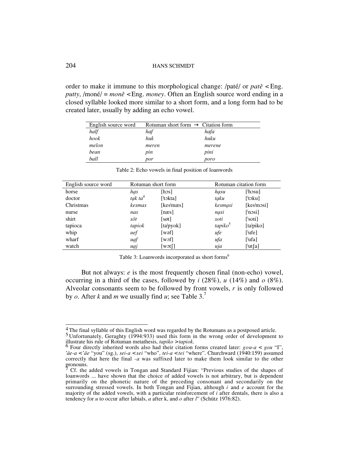order to make it immune to this morphological change:  $\pi$  /pate  $\epsilon$  /pate  $\epsilon$  /s. putty,  $\langle$ moné $\rangle$  = monē < Eng. money. Often an English source word ending in a closed syllable looked more similar to a short form, and a long form had to be created later, usually by adding an echo vowel.

| English source word | Rotuman short form $\rightarrow$ Citation form |        |  |  |  |  |
|---------------------|------------------------------------------------|--------|--|--|--|--|
| half                | haf                                            | hafa   |  |  |  |  |
| hook                | huk                                            | huku   |  |  |  |  |
| melon               | meren                                          | merene |  |  |  |  |
| bean                | pin                                            | pini   |  |  |  |  |
| ball                | por                                            | poro   |  |  |  |  |

| English source word | Rotuman short form |                                       | Rotuman citation form |                                         |
|---------------------|--------------------|---------------------------------------|-----------------------|-----------------------------------------|
| horse               | has                | [hɔs]                                 | hasu                  | [ $^\text{th}$ osu]                     |
| doctor              | tak ta $4$         | $[$ tokta]                            | taku                  | $[$ toku]                               |
| Christmas           | kesmas             | [ $kes$ <sup><math> mes</math>]</sup> | kesmasi               | [ $kes$ <sup><math>l</math></sup> mosi] |
| nurse               | nas                | [næs]                                 | nasi                  | $[$ nosi]                               |
| shirt               | söt                | [søt]                                 | soti                  | $\lceil$ soti]                          |
| tapioca             | tapiok             | [ta pyok]                             | $tapiko^3$            | [ta <sup>l</sup> piko]                  |
| whip                | uef                | [wəf]                                 | ufe                   | $[!$ ufe]                               |
| wharf               | uaf                | [wɔf]                                 | ufa                   | $[$ <sup>l</sup> ufa]                   |
| watch               | uaj                | [Wot]                                 | uja                   | $[$ <sup>l</sup> ut $[a]$               |

Table 2: Echo vowels in final position of loanwords

Table 3: Loanwords incorporated as short forms<sup>6</sup>

But not always:  $e$  is the most frequently chosen final (non-echo) vowel, occurring in a third of the cases, followed by i  $(28\%)$ , u  $(14\%)$  and o  $(8\%)$ . Alveolar consonants seem to be followed by front vowels,  $r$  is only followed by o. After k and m we usually find u; see Table 3.

<sup>&</sup>lt;sup>4</sup> The final syllable of this English word was regarded by the Rotumans as a postposed article.  $5$  Unfortunately, Geraghty (1994:933) used this form in the wrong order of development to

illustrate his rule of Rotuman metathesis,  $t$ apiko > tapiok.

<sup>&</sup>lt;sup>6</sup> Four directly inherited words also had their citation forms created later:  $g \circ u - a < g \circ u$  "I", 'äe-a < 'äe "you" (sg.), sei-a < sei "who", tei-a < tei "where". Churchward (1940:159) assumed correctly that here the final  $-a$  was suffixed later to make them look similar to the other pronouns.

Cf. the added vowels in Tongan and Standard Fijian: "Previous studies of the shapes of loanwords ... have shown that the choice of added vowels is not arbitrary, but is dependent primarily on the phonetic nature of the preceding consonant and secondarily on the surrounding stressed vowels. In both Tongan and Fijian, although  $i$  and  $e$  account for the majority of the added vowels, with a particular reinforcement of  $i$  after dentals, there is also a tendency for u to occur after labials, a after k, and o after  $l$ " (Schütz 1976:82).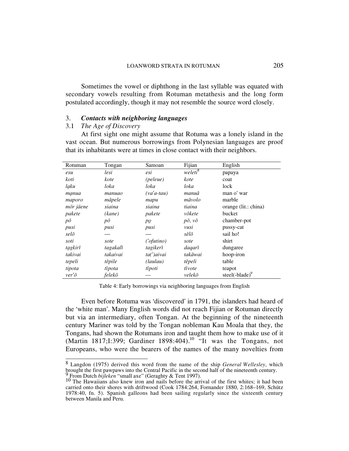Sometimes the vowel or diphthong in the last syllable was equated with secondary vowels resulting from Rotuman metathesis and the long form postulated accordingly, though it may not resemble the source word closely.

#### **Contacts with neighboring languages**  $3.$

#### $3.1$ The Age of Discovery

At first sight one might assume that Rotuma was a lonely island in the vast ocean. But numerous borrowings from Polynesian languages are proof that its inhabitants were at times in close contact with their neighbors.

| Rotuman             | Tongan     | Samoan                     | Fijian                  | English                    |
|---------------------|------------|----------------------------|-------------------------|----------------------------|
| esu                 | lesi       | esi                        | weleti <sup>8</sup>     | papaya                     |
| koti                | kote       | (peleue)                   | kote                    | coat                       |
| laku                | loka       | loka                       | loka                    | lock                       |
| manua               | manuao     | $(va'a-tau)$               | manuā                   | man o' war                 |
| maporo              | māpele     | mapu                       | māvolo                  | marble                     |
| mör jäene           | siaina     | siaina                     | tiaina                  | orange (lit.: china)       |
| pakete              | (kane)     | pakete                     | vōkete                  | bucket                     |
| $p\bar{o}$          | $p\bar{o}$ | $p\mathcal{Q}$             | $p\bar{o}$ , $v\bar{o}$ | chamber-pot                |
| pusi                | pusi       | pusi                       | vusi                    | pussy-cat                  |
| selō                |            |                            | sēlō                    | sail ho!                   |
| soti                | sote       | 'of utino)                 | sote                    | shirt                      |
| tagkirī             | tagakalī   | tagikerī                   | daqarī                  | dungaree                   |
| takivai             | takaivai   | $ta(') \, a\n$ {i} \, va\n | takāwai                 | hoop-iron                  |
| tepeli              | tēpile     | (laulau)                   | tēpeli                  | table                      |
| tipota              | tīpota     | tīpoti                     | tīvote                  | teapot                     |
| $ver' \overline{o}$ | felekō     |                            | velekō                  | steel(-blade) <sup>9</sup> |

Table 4: Early borrowings via neighboring languages from English

Even before Rotuma was 'discovered' in 1791, the islanders had heard of the 'white man'. Many English words did not reach Fijian or Rotuman directly but via an intermediary, often Tongan. At the beginning of the nineteenth century Mariner was told by the Tongan nobleman Kau Moala that they, the Tongans, had shown the Rotumans iron and taught them how to make use of it (Martin 1817; I:399; Gardiner 1898: 404).<sup>10</sup> "It was the Tongans, not Europeans, who were the bearers of the names of the many novelties from

<sup>&</sup>lt;sup>8</sup> Langdon (1975) derived this word from the name of the ship *General Wellesley*, which brought the first pawpaws into the Central Pacific in the same of the single other at weinsitely, which<br>brought the first pawpaws into the Central Pacific in the second half of the nineteenth century.<br><sup>9</sup> From Dutch *bijle* 

carried onto their shores with driftwood (Cook 1784:264, Fornander 1880, 2:168-169, Schütz 1978:40, fn. 5). Spanish galleons had been sailing regularly since the sixteenth century between Manila and Peru.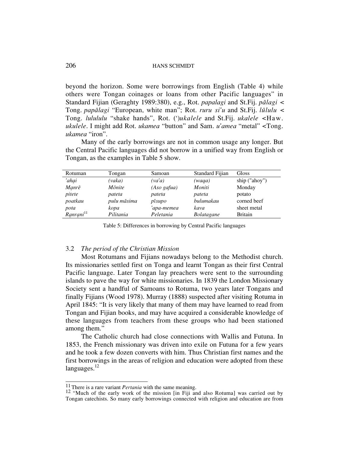beyond the horizon. Some were borrowings from English (Table 4) while others were Tongan coinages or loans from other Pacific languages" in Standard Fijian (Geraghty 1989:380), e.g., Rot. *papalagi* and St.Fij. *pālagi* < Tong. *papālagi* "European, white man"; Rot. *ruru si'u* and St.Fij. *lūlulu* < Tong. *lulululu* "shake hands", Rot. (')*ukalele* and St.Fij. *ukalele* < Haw. *ukulele*. I might add Rot. *ukamea* "button" and Sam. *u'amea* "metal" < Tong. *ukamea* "iron".

Many of the early borrowings are not in common usage any longer. But the Central Pacific languages did not borrow in a unified way from English or Tongan, as the examples in Table 5 show.

| Rotuman               | Tongan      | Samoan             | Standard Fijian   | Gloss          |
|-----------------------|-------------|--------------------|-------------------|----------------|
| 'ahai                 | (vaka)      | $\alpha'$ a)       | (waqa)            | ship ("ahoy")  |
| Manrē                 | Mōnite      | (Aso gafua)        | Moniti            | Monday         |
| pitete                | pateta      | pateta             | pateta            | potato         |
| poatkau               | pulu māsima | $p\overline{i}sup$ | bulumakau         | corned beef    |
| pota                  | kopa        | 'ара-тетеа         | kava              | sheet metal    |
| Ranrani <sup>11</sup> | Pilitania   | Peletania          | <i>Bolatagane</i> | <b>Britain</b> |

Table 5: Differences in borrowing by Central Pacific languages

#### 3.2 *The period of the Christian Mission*

Most Rotumans and Fijians nowadays belong to the Methodist church. Its missionaries settled first on Tonga and learnt Tongan as their first Central Pacific language. Later Tongan lay preachers were sent to the surrounding islands to pave the way for white missionaries. In 1839 the London Missionary Society sent a handful of Samoans to Rotuma, two years later Tongans and finally Fijians (Wood 1978). Murray (1888) suspected after visiting Rotuma in April 1845: "It is very likely that many of them may have learned to read from Tongan and Fijian books, and may have acquired a considerable knowledge of these languages from teachers from these groups who had been stationed among them."

The Catholic church had close connections with Wallis and Futuna. In 1853, the French missionary was driven into exile on Futuna for a few years and he took a few dozen converts with him. Thus Christian first names and the first borrowings in the areas of religion and education were adopted from these  $languages.<sup>12</sup>$ 

<sup>&</sup>lt;sup>11</sup> There is a rare variant *Pertania* with the same meaning.<br><sup>12</sup> "Much of the early work of the mission [in Fiji and also Rotuma] was carried out by Tongan catechists. So many early borrowings connected with religion and education are from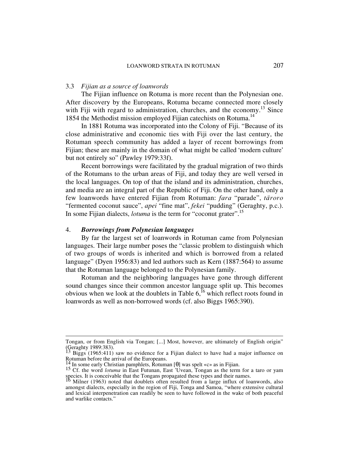#### 3.3 *Fijian as a source of loanwords*

The Fijian influence on Rotuma is more recent than the Polynesian one. After discovery by the Europeans, Rotuma became connected more closely with Fiji with regard to administration, churches, and the economy.<sup>13</sup> Since 1854 the Methodist mission employed Fijian catechists on Rotuma.<sup>14</sup>

In 1881 Rotuma was incorporated into the Colony of Fiji. "Because of its close administrative and economic ties with Fiji over the last century, the Rotuman speech community has added a layer of recent borrowings from Fijian; these are mainly in the domain of what might be called 'modern culture' but not entirely so" (Pawley 1979:33f).

Recent borrowings were facilitated by the gradual migration of two thirds of the Rotumans to the urban areas of Fiji, and today they are well versed in the local languages. On top of that the island and its administration, churches, and media are an integral part of the Republic of Fiji. On the other hand, only a few loanwords have entered Fijian from Rotuman: *fara* "parade", *täroro* "fermented coconut sauce", *apei* "fine mat", *fekei* "pudding" (Geraghty, p.c.). In some Fijian dialects, *lotuma* is the term for "coconut grater".15

#### 4. *Borrowings from Polynesian languages*

By far the largest set of loanwords in Rotuman came from Polynesian languages. Their large number poses the "classic problem to distinguish which of two groups of words is inherited and which is borrowed from a related language" (Dyen 1956:83) and led authors such as Kern (1887:564) to assume that the Rotuman language belonged to the Polynesian family.

Rotuman and the neighboring languages have gone through different sound changes since their common ancestor language split up. This becomes obvious when we look at the doublets in Table  $6<sup>16</sup>$  which reflect roots found in loanwords as well as non-borrowed words (cf. also Biggs 1965:390).

Tongan, or from English via Tongan; [...] Most, however, are ultimately of English origin" (Geraghty 1989:383).<br>13 Biggs (1989:383).

Biggs  $(1965:411)$  saw no evidence for a Fijian dialect to have had a major influence on Rotuman before the arrival of the Europeans.

<sup>14</sup> In some early Christian pamphlets, Rotuman [θ] was spelt «c» as in Fijian. <sup>15</sup> Cf. the word *lotuma* in East Futunan, East 'Uvean, Tongan as the term for a taro or yam

species. It is conceivable that the Tongans propagated these types and their names.<br><sup>16</sup> Milner (1963) noted that doublets often resulted from a large influx of loanwords, also amongst dialects, especially in the region of Fiji, Tonga and Samoa, "where extensive cultural and lexical interpenetration can readily be seen to have followed in the wake of both peaceful and warlike contacts."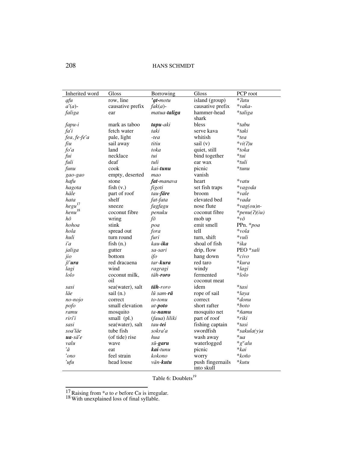| Inherited word     | Gloss            | Borrowing         | Gloss                          | PCP root               |
|--------------------|------------------|-------------------|--------------------------------|------------------------|
| afu                | row, line        | 'at-motu          | island (group)                 | $*2$ atu               |
| $a'(a)$ -          | causative prefix | $fak(a)$ -        | causative prefix               | $*vaka$                |
| faliga             | ear              | matua-taliga      | hammer-head<br>shark           | *taliga                |
| fapu-i             | mark as taboo    | tapu-aki          | bless                          | $*$ tabu               |
| fa'i               | fetch water      | taki              | serve kava                     | $*$ taki               |
| fea, fe-fe'a       | pale, light      | -tea              | whitish                        | *tea                   |
| fiu                | sail away        | titiu             | sail (v)                       | $*$ vi(?)u             |
| $f\circ a$         | land             | toka              | quiet, still                   | *toka                  |
| fui                | necklace         | tui               | bind together                  | $*$ tui                |
| fuli               | deaf             | tuli              | ear wax                        | $*$ tuli               |
| funu               | cook             | kai- <b>tunu</b>  | picnic                         | $*$ tunu               |
| gao-gao            | empty, deserted  | mao               | vanish                         |                        |
| hafu               | stone            | fat-manava        | heart                          | $*vatu$                |
| hagota             | fish(v.)         | figoti            | set fish traps                 | *vagoda                |
| häle               | part of roof     | tau-färe          | broom                          | $*$ vale               |
| hata               | shelf            | fat-fata          | elevated bed                   | *vada                  |
| hegu <sup>17</sup> | sneeze           | fagfagu           | nose flute                     | $*vag(ou)n$            |
| henu <sup>18</sup> | coconut fibre    | penuku            | coconut fibre                  | $*penu(2)(iu)$         |
| hō                 | wring            | $f\overline{o}$   | mob up                         | $*_{v\bar{o}}$         |
| hohoa              | stink            | poa               | emit smell                     | PPn. *poa              |
| hola               | spread out       | fora              | tell                           | *vola                  |
| huli               | turn round       | furi              | turn, shift                    | $*$ vuli               |
| i'a                | fish(n.)         | kau- <b>ika</b>   | shoal of fish                  | *ika                   |
| jaliga             | gutter           | sa-sari           | drip, flow                     | $PEO * }sali$          |
| jio                | bottom           | ifo               | hang down                      | $*civo$                |
| $i\bar{i}'$ ura    | red dracaena     | tar- <b>kura</b>  | red taro                       | *kura                  |
| lagi               | wind             | ragragi           | windy                          | $*lagi$                |
| lolo               | coconut milk,    | täh- <b>roro</b>  | fermented                      | $*lolo$                |
|                    | oil              |                   | coconut meat                   |                        |
| sasi               | sea(water), salt | täh-roro          | idem                           | $*tasi$                |
| läe                | sail (n.)        | lū sam- <b>rā</b> | rope of sail                   | $*laya$                |
| no-nojo            | correct          | to-tonu           | correct                        | *donu                  |
| pofo               | small elevation  | $ut$ -poto        | short rafter                   | $*boto$                |
| ramu               | mosquito         | ta-namu           | mosquito net                   | $*namu$                |
| riri'i             | small (pl.)      | (faua) liliki     | part of roof                   | $*$ riki               |
| sasi               | sea(water), salt | tau- <b>tei</b>   | fishing captain                | $*tasi$                |
| soa'läe            | tube fish        | sokra'a           | swordfish                      | $*$ sakula(y)a         |
| $ua-sä'e$          | (of tide) rise   | hua               | wash away                      | $*ua$                  |
| valu               | wave             | sū-garu           | waterlogged                    | $*$ g <sup>w</sup> alu |
| 'ā                 | eat              | <b>kai</b> -tunu  | picnic                         | *kai                   |
| 'ono               | feel strain      | kokono            | worry                          | $*_{kofio}$            |
| 'ufu               | head louse       | vän- <b>kutu</b>  | push fingernails<br>into skull | $*$ <i>kutu</i>        |

Table 6: Doublets $^{19}$ 

<sup>17</sup> Raising from  $*a$  to *e* before C*u* is irregular. 18 With unexplained loss of final syllable.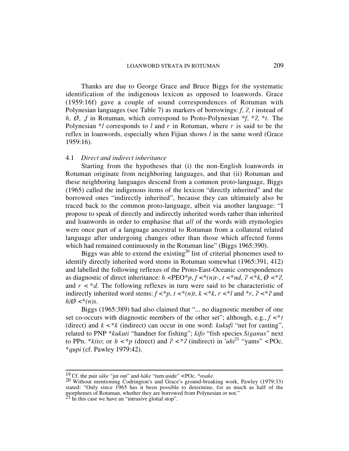Thanks are due to George Grace and Bruce Biggs for the systematic identification of the indigenous lexicon as opposed to loanwords. Grace (1959:16f) gave a couple of sound correspondences of Rotuman with Polynesian languages (see Table 7) as markers of borrowings: *f, 2, t* instead of *h, Ø, ,f* in Rotuman, which correspond to Proto-Polynesian *\*f, \**/, *\*t*. The Polynesian *\*l* corresponds to *l* and *r* in Rotuman, where *r* is said to be the reflex in loanwords, especially when Fijian shows *l* in the same word (Grace 1959:16).

#### 4.1 *Direct and indirect inheritance*

Starting from the hypotheses that (i) the non-English loanwords in Rotuman originate from neighboring languages, and that (ii) Rotuman and these neighboring languages descend from a common proto-language, Biggs (1965) called the indigenous items of the lexicon "directly inherited" and the borrowed ones "indirectly inherited", because they can ultimately also be traced back to the common proto-language, albeit via another language: "I propose to speak of directly and indirectly inherited words rather than inherited and loanwords in order to emphasise that *all* of the words with etymologies were once part of a language ancestral to Rotuman from a collateral related language after undergoing changes other than those which affected forms which had remained continuously in the Rotuman line" (Biggs 1965:390).

Biggs was able to extend the existing<sup>20</sup> list of criterial phonemes used to identify directly inherited word stems in Rotuman somewhat (1965:391, 412) and labelled the following reflexes of the Proto-East-Oceanic correspondences as diagnostic of direct inheritance:  $h < PEO^*p$ ,  $f < ^*(n)t$ -,  $t < ^*nd$ ,  $2 < ^*k$ ,  $\emptyset < ^*?$ , and  $r < *d$ . The following reflexes in turn were said to be characteristic of indirectly inherited word stems:  $f < \nvert k \leq r$ ,  $t < \nvert k \leq k$ ,  $r < \nvert k \leq r$  and  $\lvert k \rvert$ ,  $r \leq r$  and  $h/\emptyset <$ \* $(n)s$ .

Biggs (1965:389) had also claimed that "... no diagnostic member of one set co-occurs with diagnostic members of the other set"; although, e.g.,  $f \lt^* t$ (direct) and  $k < *k$  (indirect) can occur in one word: *kukufi* "net for casting", related to PNP *\*kukuti* "handnet for fishing"; *kifo* "fish species *Siganus*" next to PPn. \**kito*; or  $h < \n\star p$  (direct) and  $2 < \n\star 2$  (indirect) in '*uhi*<sup>21</sup> "yams" < POc. *\*qupi* (cf. Pawley 1979:42).

<sup>&</sup>lt;sup>19</sup> Cf. the pair *säke* "jut out" and *häke* "turn aside" < POc. *\*nsake*.<br><sup>20</sup> Without mentioning Codrington's and Grace's ground-breaking work, Pawley (1979:33) stated: "Only since 1965 has it been possible to determine, for as much as half of the morphemes of Rotuman, whether they are borrowed from Polynesian or not."<br><sup>21</sup> In this case we have an "intrusive glottal stop".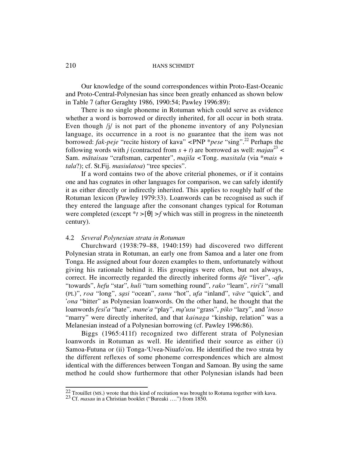Our knowledge of the sound correspondences within Proto-East-Oceanic and Proto-Central-Polynesian has since been greatly enhanced as shown below in Table 7 (after Geraghty 1986, 1990:54; Pawley 1996:89):

There is no single phoneme in Rotuman which could serve as evidence whether a word is borrowed or directly inherited, for all occur in both strata. Even though  $/j/$  is not part of the phoneme inventory of any Polynesian language, its occurrence in a root is no guarantee that the item was not borrowed: *fak-peje* "recite history of kava" <sup>&</sup>lt; PNP *\*pese* "sing".<sup>22</sup> Perhaps the following words with *j* (contracted from  $s + t$ ) are borrowed as well: *majau*<sup>23</sup> Sam. *maµtaisau* "craftsman, carpenter", *majila* < Tong. *masitala* (via *\*mais* + *tala*?); cf. St.Fij. *masiulatoa*) "tree species".

If a word contains two of the above criterial phonemes, or if it contains one and has cognates in other languages for comparison, we can safely identify it as either directly or indirectly inherited. This applies to roughly half of the Rotuman lexicon (Pawley 1979:33). Loanwords can be recognised as such if they entered the language after the consonant changes typical for Rotuman were completed (except  $*$ *t* > [ $\theta$ ] > *f* which was still in progress in the nineteenth century).

#### 4.2 *Several Polynesian strata in Rotuman*

Churchward (1938:79–88, 1940:159) had discovered two different Polynesian strata in Rotuman, an early one from Samoa and a later one from Tonga. He assigned about four dozen examples to them, unfortunately without giving his rationale behind it. His groupings were often, but not always, correct. He incorrectly regarded the directly inherited forms *a¨fe* "liver", *-afu* "towards", *hefu* "star", *huli* "turn something round", *rako* "learn", *riri'i* "small (PL)", *roa* "long", *sasi* "ocean", *sunu* "hot", *ufa* "inland", *väve* "quick", and '*ona* "bitter" as Polynesian loanwords. On the other hand, he thought that the loanwords *fesi'a* "hate", *mane'a* "play", *maò'usu* "grass", *piko* "lazy", and '*inoso* "marry" were directly inherited, and that *kainaga* "kinship, relation" was a Melanesian instead of a Polynesian borrowing (cf. Pawley 1996:86).

Biggs (1965:411f) recognized two different strata of Polynesian loanwords in Rotuman as well. He identified their source as either (i) Samoa-Futuna or (ii) Tonga-'Uvea-Niuafo'ou. He identified the two strata by the different reflexes of some phoneme correspondences which are almost identical with the differences between Tongan and Samoan. By using the same method he could show furthermore that other Polynesian islands had been

<sup>&</sup>lt;sup>22</sup> Trouillet (MS.) wrote that this kind of recitation was brought to Rotuma together with kava. <sup>23</sup> Cf. *masau* in a Christian booklet ("Bureaki ....") from 1850.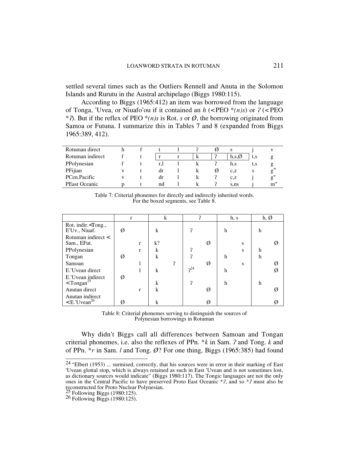settled several times such as the Outliers Rennell and Anuta in the Solomon Islands and Rurutu in the Austral archipelago (Biggs 1980:115).

According to Biggs (1965:412) an item was borrowed from the language of Tonga, 'Uvea, or Niuafo'ou if it contained an  $h \ll PEO^{*}(n)$  or  $2 \ll PEO$ *\**/). But if the reflex of PEO *\*(n)s* is Rot. *s* or *Ø*, the borrowing originated from Samoa or Futuna. I summarize this in Tables 7 and 8 (expanded from Biggs 1965:389, 412).

| Rotuman direct       |              |     |    | Ø |          |     |       |
|----------------------|--------------|-----|----|---|----------|-----|-------|
| Rotuman indirect     |              |     |    |   | h.s.Ø    | t,s | g     |
| PPolynesian          |              | r.l |    |   | h,s      | t.s | g     |
| PFijian              | v            | dr  | K. | Ø | $c_{1}z$ |     | $g^w$ |
| PCen.Pacific         | $\mathbf{V}$ | dr  |    |   | $c_{1}z$ |     | $g^w$ |
| <b>PEast Oceanic</b> |              | nd  |    |   | s.ns     |     | $m^w$ |

Table 7: Criterial phonemes for directly and indirectly inherited words. For the boxed segments, see Table 8.

|                                                  | r |    | $\mathbf k$ |   | 2        |   | h, s |   | $h, \emptyset$ |   |
|--------------------------------------------------|---|----|-------------|---|----------|---|------|---|----------------|---|
| Rot. indir. <tong.,<br>E'Uv., Niuaf.</tong.,<br> | Ø |    | k           |   | 2        |   | h    |   | h              |   |
| Rotuman indirect <<br>Sam., EFut.                |   | r  | k?          |   |          | Ø |      | S |                |   |
| PPolynesian                                      |   | r  | k           |   | 2        |   |      | S | h              |   |
| Tongan                                           | Ø |    | k           |   | 2        |   | h    |   | h              |   |
| Samoan                                           |   |    |             | 2 |          | Ø |      | S |                | Ø |
| E.'Uvean direct                                  |   | Ι. | k           |   | $2^{24}$ |   | h    |   |                |   |
| E.'Uvean indirect<br>$<$ Tongan <sup>25</sup>    | Ø |    | k           |   | 2        |   | h    |   | h              |   |
| Anutan direct                                    |   | r  | k           |   |          | Ø |      |   |                |   |
| Anutan indirect<br>$\leq$ E.'Uvean <sup>26</sup> | Ø |    | k           |   |          | Ø |      |   |                |   |

Table 8: Criterial phonemes serving to distinguish the sources of Polynesian borrowings in Rotuman

Why didn't Biggs call all differences between Samoan and Tongan criterial phonemes, i.e. also the reflexes of PPn.  $*$ *k* in Sam. *?* and Tong. *k* and of PPn. *\*r* in Sam. *l* and Tong. *Ø*? For one thing, Biggs (1965:385) had found

 <sup>24 &</sup>quot;Elbert (1953) ... surmised, correctly, that his sources were in error in their marking of East 'Uvean glottal stop, which is always retained as such in East 'Uvean and is not sometimes lost, as dictionary sources would indicate" (Biggs 1980:117). The Tongic languages are not the only ones in the Central Pacific to have preserved Proto East Oceanic *\**/, and so *\**/ must also be reconstructed for Proto Nuclear Polynesian.<br><sup>25</sup> Following Biggs (1980:125).<br><sup>26</sup> Following Biggs (1980:125).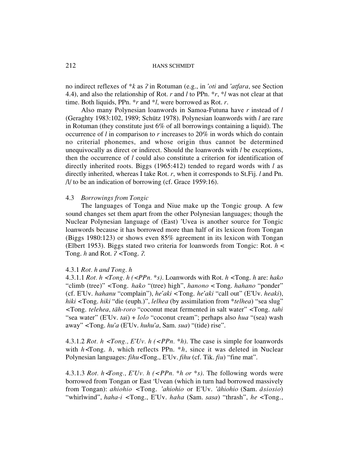no indirect reflexes of \*k as ? in Rotuman (e.g., in *'oti* and *'atfara*, see Section 4.4), and also the relationship of Rot. *r* and *l* to PPn. *\*r*, *\*l* was not clear at that time. Both liquids, PPn. *\*r* and *\*l*, were borrowed as Rot. *r*.

Also many Polynesian loanwords in Samoa-Futuna have *r* instead of *l* (Geraghty 1983:102, 1989; Schütz 1978). Polynesian loanwords with *l* are rare in Rotuman (they constitute just 6% of all borrowings containing a liquid). The occurrence of *l* in comparison to *r* increases to 20% in words which do contain no criterial phonemes, and whose origin thus cannot be determined unequivocally as direct or indirect. Should the loanwords with *l* be exceptions, then the occurrence of *l* could also constitute a criterion for identification of directly inherited roots. Biggs (1965:412) tended to regard words with *l* as directly inherited, whereas I take Rot. *r*, when it corresponds to St.Fij. *l* and Pn. /l/ to be an indication of borrowing (cf. Grace 1959:16).

#### 4.3 *Borrowings from Tongic*

The languages of Tonga and Niue make up the Tongic group. A few sound changes set them apart from the other Polynesian languages; though the Nuclear Polynesian language of (East) 'Uvea is another source for Tongic loanwords because it has borrowed more than half of its lexicon from Tongan (Biggs 1980:123) or shows even 85% agreement in its lexicon with Tongan (Elbert 1953). Biggs stated two criteria for loanwords from Tongic: Rot. *h* < Tong.  $h$  and Rot.  $2 <$ Tong.  $2$ .

# 4.3.1 *Rot. h and Tong. h*

4.3.1.1 *Rot. h* <sup>&</sup>lt; *Tong. h (*< *PPn. \*s)*. Loanwords with Rot. *h* < Tong. *h* are: *hako* "climb (tree)" < Tong. *hako* "(tree) high", *hanono* < Tong. *hahano* "ponder" (cf. E'Uv. *hahanu* "complain"), *he'aki* < Tong. *he'aki* "call out" (E'Uv. *heaki*), *hiki* < Tong. *hiki* "die (euph.)", *lelhea* (by assimilation from *\*telhea*) "sea slug" < Tong. *telehea*, *ta¨h-roro* "coconut meat fermented in salt water" < Tong. *tahi* "sea water" (E'Uv. *tai*) + *lolo* "coconut cream"; perhaps also *hua* "(sea) wash away" < Tong. *hu'a* (E'Uv. *huhu'a*, Sam. *sua*) "(tide) rise".

4.3.1.2 *Rot. h* <sup>&</sup>lt; *Tong., E'Uv. h (*<sup>&</sup>lt; *PPn. \*h)*. The case is simple for loanwords with *h*< Tong. *h*, which reflects PPn. *\*h*, since it was deleted in Nuclear Polynesian languages: *fihu*< Tong., E'Uv. *fihu* (cf. Tik. *fiu*) "fine mat".

4.3.1.3 *Rot. h < Tong., E'Uv. h (< PPn. \*h or \*s)*. The following words were borrowed from Tongan or East 'Uvean (which in turn had borrowed massively from Tongan): *ahiohio* < Tong. *'ahiohio* or E'Uv. *'ahiohio* (Sam. *asiosio*) "whirlwind", *haha-i* < Tong., E'Uv. *haha* (Sam. *sasa*) "thrash", *he* < Tong.,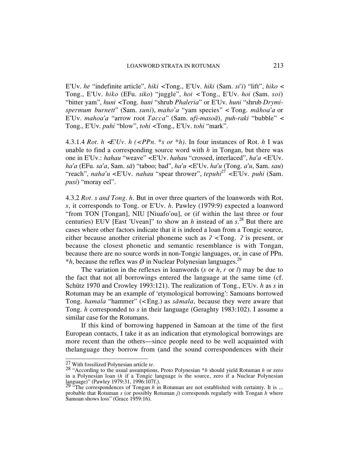E'Uv. *he* "indefinite article", *hiki* < Tong., E'Uv. *hiki* (Sam. *si'i*) "lift", *hiko* < Tong., E'Uv. *hiko* (EFu. *siko*) "juggle", *hoi* < Tong., E'Uv. *hoi* (Sam. *soi*) "bitter yam", *huni* < Tong. *huni* "shrub *Phaleria*" or E'Uv. *huni* "shrub *Drymispermum burnett*" (Sam. *suni*), *maho'a* "yam species" < Tong. *maµhoa'a* or E'Uv. *mahoa'a* "arrow root *Tacca*" (Sam. *ufi-masoa*), *µ puh-raki* "bubble" < Tong., E'Uv. *puhi* "blow", *tohi* < Tong., E'Uv. *tohi* "mark".

4.3.1.4 *Rot.*  $h \leq E'Uv$ .  $h \leq PPn$ . *\*s or \*h*). In four instances of Rot. *h* I was unable to find a corresponding source word with *h* in Tongan, but there was one in E'Uv.: *hahau* "weave" < E'Uv. *hahau* "crossed, interlaced", *ha'a* < E'Uv. *ha'a* (EFu. *sa'a*, Sam. *saµ*) "taboo; bad", *ha'u* < E'Uv. *ha'u* (Tong. *a'u*, Sam. *sau*) "reach", *naha'u* <sup>&</sup>lt; E'Uv. *nahau* "spear thrower", *tepuhi*<sup>27</sup> < E'Uv. *puhi* (Sam. *pusi*) "moray eel".

4.3.2 *Rot. s and Tong. h*. But in over three quarters of the loanwords with Rot. *s*, it corresponds to Tong. or E'Uv. *h*. Pawley (1979:9) expected a loanword "from TON [Tongan], NIU [Niuafo'ou], or (if within the last three or four centuries) EUV [East 'Uvean]" to show an *h* instead of an  $s^{28}$  But there are cases where other factors indicate that it is indeed a loan from a Tongic source, either because another criterial phoneme such as  $2 <$ Tong.  $2$  is present, or because the closest phonetic and semantic resemblance is with Tongan, because there are no source words in non-Tongic languages, or, in case of PPn. *\*h*, because the reflex was  $\varnothing$  in Nuclear Polynesian languages.<sup>29</sup>

The variation in the reflexes in loanwords (*s* or *h*, *r* or *l*) may be due to the fact that not all borrowings entered the language at the same time (cf. Schütz 1970 and Crowley 1993:121). The realization of Tong., E'Uv. *h* as *s* in Rotuman may be an example of 'etymological borrowing': Samoans borrowed Tong. *hamala* "hammer" (< Eng.) as *sāmala*, because they were aware that Tong. *h* corresponded to *s* in their language (Geraghty 1983:102). I assume a similar case for the Rotumans.

If this kind of borrowing happened in Samoan at the time of the first European contacts, I take it as an indication that etymological borrowings are more recent than the others—since people need to be well acquainted with thelanguage they borrow from (and the sound correspondences with their

 <sup>27</sup> With fossilized Polynesian article *te*. <sup>28</sup> "According to the usual assumptions, Proto Polynesian *\*h* should yield Rotuman *<sup>h</sup>* or zero in a Polynesian loan (*h* if a Tongic language is the source, zero if a Nuclear Polynesian language)" (Pawley 1979:31, 1996:107f.). 29 "The correspondences of Tongan *h* in Rotuman are not established with certainty. It is ...

probable that Rotuman *s* (or possibly Rotuman *j*) corresponds regularly with Tongan *h* where Samoan shows loss" (Grace 1959:16).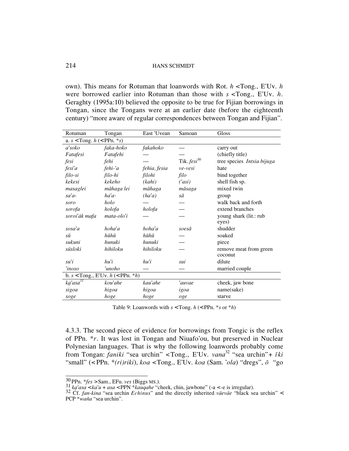own). This means for Rotuman that loanwords with Rot.  $h <$ Tong., E'Uv. h were borrowed earlier into Rotuman than those with  $s$  < Tong., E'Uv.  $h$ . Geraghty (1995a:10) believed the opposite to be true for Fijian borrowings in Tongan, since the Tongans were at an earlier date (before the eighteenth century) "more aware of regular correspondences between Tongan and Fijian".

| Rotuman                        | Tongan                                    | East 'Uvean  | Samoan           | Gloss                      |
|--------------------------------|-------------------------------------------|--------------|------------------|----------------------------|
| a. $s <$ Tong. $h$ (< PPn. *s) |                                           |              |                  |                            |
| a'soko                         | faka-hoko                                 | fakahoko     |                  | carry out                  |
| Fatafesi                       | Fatafehi                                  |              |                  | (chiefly title)            |
| fesi                           | fehi                                      |              | Tik. $fesi^{30}$ | tree species Intsia bijuga |
| fesi'a                         | $fehi-a$                                  | fehia, fesia | ve-vesi          | hate                       |
| filo-si                        | filo-hi                                   | filohi       | filo             | bind together              |
| kekesi                         | kekeho                                    | (kahi)       | $\int'$ asi      | shell fish sp.             |
| masaglei                       | māhaga lei                                | māhaga       | māsaga           | mixed twin                 |
| $sa'a-$                        | $ha'a-$                                   | (ha'a)       | sā               | group                      |
| soro                           | holo                                      |              |                  | walk back and forth        |
| sorofa                         | holofa                                    | holofa       |                  | extend branches            |
| soroi'åk mafa                  | mata-olo'i                                |              |                  | young shark (lit.: rub     |
|                                |                                           |              |                  | eyes)                      |
| sosa'a                         | hoha'a                                    | hoha'a       | soesā            | shudder                    |
| sū                             | hūhū                                      | hūhū         |                  | soaked                     |
| sukuni                         | hunuki                                    | hunuki       |                  | piece                      |
| süsloki                        | hihiloku                                  | hihiloku     |                  | remove meat from green     |
|                                |                                           |              |                  | coconut                    |
| su'i                           | hu'i                                      | hu'i         | sui              | dilute                     |
| 'inoso                         | 'unoho                                    |              |                  | married couple             |
|                                | b. $s$ < Tong., E'Uv. $h$ (< PPn. * $h$ ) |              |                  |                            |
| $kq'asa^{31}$                  | kou'ahe                                   | kau'ahe      | 'auvae           | cheek, jaw bone            |
| sigoa                          | higoa                                     | higoa        | igoa             | name(sake)                 |
| soge                           | hoge                                      | hoge         | oge              | starve                     |

Table 9: Loanwords with  $s <$  Tong.  $h$  (< PPn. \*s or \*h)

4.3.3. The second piece of evidence for borrowings from Tongic is the reflex of PPn. \*r. It was lost in Tongan and Niuafo'ou, but preserved in Nuclear Polynesian languages. That is why the following loanwords probably come from Tongan: faniki "sea urchin" < Tong., E'Uv. vana<sup>32</sup> "sea urchin"+  $\bar{t}$ ki "small" (< PPn.  $*(ri)$ riki), koa < Tong., E'Uv. koa (Sam. 'ola) "dregs",  $\bar{o}$  "go

 $\frac{30 \text{ P} \text{P} \text{P} \text{P} \text{P}}{31 \text{ kg} \cdot \text{cos} \cdot \text{K} \text{a} \cdot \text{k}}$  (Figgs MS.).<br>  $\frac{31 \text{ kg} \cdot \text{cos} \cdot \text{k}}{31 \text{ kg} \cdot \text{cos} \cdot \text{k}}$  (Figgs MS.).<br>  $\frac{31 \text{ kg} \cdot \text{cos} \cdot \text{k}}{32 \text{ C} \cdot \text{f}}$ ,  $\frac{31 \text{ kg} \cdot \text{cos} \cdot \text{k}}{32 \text{ C} \cdot \text{f$ PCP \**waña* "sea urchin".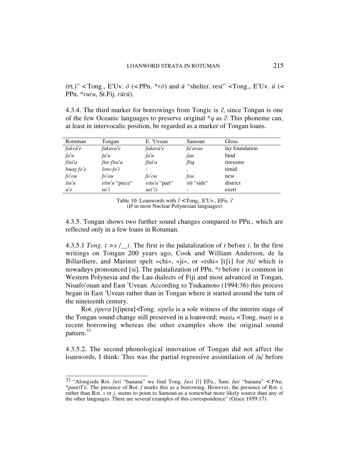(PL)" < Tong., E'Uv.  $\bar{\sigma}$  (< PPn.  $*r\bar{\sigma}$ ) and  $\bar{u}$  "shelter, rest" < Tong., E'Uv.  $\bar{u}$  (< PPn. *\*ruru*, St.Fij. *rūrū*).

4.3.4. The third marker for borrowings from Tongic is  $\ell$ , since Tongan is one of the few Oceanic languages to preserve original  $*q$  as ?. This phoneme can, at least in intervocalic position, be regarded as a marker of Tongan loans.

| Rotuman     | Tongan            | E. 'Uvean           | Samoan            | Gloss          |
|-------------|-------------------|---------------------|-------------------|----------------|
| fakvä'e     | fakava'e          | fakava'e            | fa'avae           | lay foundation |
| fa'u        | fa'u              | fa'u                | fau               | bind           |
| fita'a      | fite-fita'a       | fita'a              | fit <u>a</u>      | tiresome       |
| huag fo'e   | $\iota$ loto-fo'i |                     |                   | timid          |
| $f_{0}$ 'ou | fo'ou             | $f_{O}^{\prime}$ ou | fou               | new            |
| itu'u       | eitu'u "piece"    | eitu'u "part"       | <i>itū</i> "side" | district       |
| u'e         | ue'i              | ue(i)               |                   | exert          |

Table 10: Loanwords with  $? <$  Tong., E'Uv., EFu.  $?$ (*Ø* in most Nuclear Polynesian languages)

4.3.5. Tongan shows two further sound changes compared to PPn., which are reflected only in a few loans in Rotuman.

4.3.5.1 *Tong. t > s / i.* The first is the palatalization of *t* before *i*. In the first writings on Tongan 200 years ago, Cook and William Anderson, de la Billardiere, and Mariner spelt «chi», «ji», or «tshi» [t[i] for /ti/ which is nowadays pronounced [si]. The palatalization of PPn. *\*t* before *i* is common in Western Polynesia and the Lau dialects of Fiji and most advanced in Tongan, Niuafo'ouan and East 'Uvean. According to Tsukamoto (1994:36) this process began in East 'Uvean rather than in Tongan where it started around the turn of the nineteenth century.

Rot. *jipera* [t[ipera]<Tong. *sipela* is a sole witness of the interim stage of the Tongan sound change still preserved in a loanword; *masi*<sup>4</sup> < Tong. *masi* is a recent borrowing whereas the other examples show the original sound pattern.33

4.3.5.2. The second phonological innovation of Tongan did not affect the loanwords, I think: This was the partial regressive assimilation of /a/ before

 <sup>33</sup> "Alongside Rot. *futi* "banana" we find Tong. *fusi* [!] EFu., Sam. *futi* "banana" <sup>&</sup>lt; PAn. *\*pun(tT)i*. The presence of Rot. *f* marks this as a borrowing. However, the presence of Rot. *t*, rather than Rot. *s* or *j*, seems to point to Samoan as a somewhat more likely source than any of the other languages. There are several examples of this correspondence" (Grace 1959:17).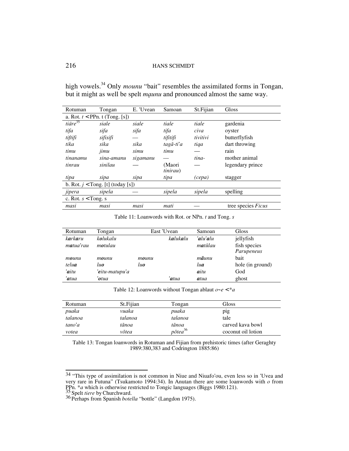high vowels.<sup>34</sup> Only *mounu* "bait" resembles the assimilated forms in Tongan, but it might as well be spelt *maunu* and pronounced almost the same way.

| Rotuman               | Tongan                              | E. 'Uvean | Samoan                     | St.Fijian | Gloss                     |
|-----------------------|-------------------------------------|-----------|----------------------------|-----------|---------------------------|
|                       | a. Rot. $t$ < PPn. t (Tong. [s])    |           |                            |           |                           |
| $ti\ddot{a}re^{35}$   | siale                               | siale     | tiale                      | tiale     | gardenia                  |
| tifa                  | sifa                                | sifa      | tifa                       | civa      | oyster                    |
| tiftifi               | sifisifi                            |           | tifitifi                   | tivitivi  | butterflyfish             |
| tika                  | sika                                | sika      | tagā-ti'a                  | tiqa      | dart throwing             |
| timu                  | jimu                                | simu      | timu                       |           | rain                      |
| tinanamu              | sina-amanu                          | sigamanu  |                            | tina-     | mother animal             |
| tinrau                | sinilau                             |           | (Maori<br><i>tinirau</i> ) |           | legendary prince          |
| tipa                  | sipa                                | sipa      | tipa                       | (cepa)    | stagger                   |
|                       | b. Rot. $j <$ Tong. [t] (today [s]) |           |                            |           |                           |
| jipera                | sipela                              |           | sipela                     | sipela    | spelling                  |
| c. Rot. $s <$ Tong. s |                                     |           |                            |           |                           |
| masi                  | masi                                | masi      | mati                       |           | tree species <i>Ficus</i> |

Table 11: Loanwords with Rot. or NPn. *t* and Tong. *s*

| Rotuman   | Tongan                  |       | East 'Uvean | Samoan         | Gloss                      |
|-----------|-------------------------|-------|-------------|----------------|----------------------------|
| karkaru   | kolukalu                |       | kalukalu    | 'alu'alu       | jellyfish                  |
| matua'rau | motulau                 |       |             | matūlau        | fish species<br>Parupeneus |
| mounu     | mounu                   | mounu |             | $m\bar{a}$ unu | bait                       |
| telua     | luo                     | luo   |             | lu <b>a</b>    | hole (in ground)           |
| 'aitu     | ' <b>e</b> itu-matupu'a |       |             | aitu           | God                        |
| 'atua     | 'otua                   |       | 'atua       | <b>atua</b>    | ghost                      |

Table 12: Loanwords without Tongan ablaut  $o \sim e < *a$ 

| Rotuman | St.Fijian | Tongan             | Gloss              |
|---------|-----------|--------------------|--------------------|
| puaka   | vuaka     | puaka              | pig                |
| talanoa | talanoa   | talanoa            | tale               |
| tano'a  | tānoa     | tānoa              | carved kava bowl   |
| votea   | vōtea     | $p\bar{o}tea^{36}$ | coconut oil lotion |

Table 13: Tongan loanwords in Rotuman and Fijian from prehistoric times (after Geraghty 1989:380,383 and Codrington 1885:86)

 <sup>34</sup> "This type of assimilation is not common in Niue and Niuafo'ou, even less so in 'Uvea and very rare in Futuna" (Tsukamoto 1994:34). In Anutan there are some loanwords with *o* from PPn. *\*a* which is otherwise restricted to Tongic languages (Biggs 1980:121).<br><sup>35</sup> Spelt *tiere* by Churchward.

<sup>36</sup> Perhaps from Spanish *botella* "bottle" (Langdon 1975).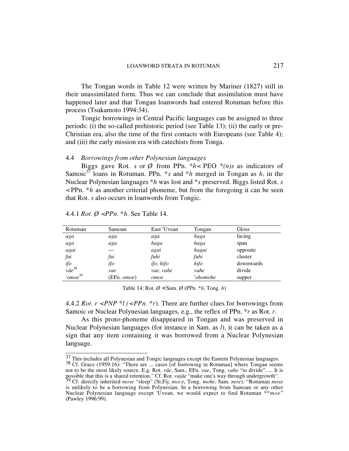The Tongan words in Table 12 were written by Mariner (1827) still in their unassimilated form. Thus we can conclude that assimilation must have happened later and that Tongan loanwords had entered Rotuman before this process (Tsukamoto 1994:34).

Tongic borrowings in Central Pacific languages can be assigned to three periods: (i) the so-called prehistoric period (see Table 13); (ii) the early or pre-Christian era, also the time of the first contacts with Europeans (see Table 4); and (iii) the early mission era with catechists from Tonga.

#### 4.4 *Borrowings from other Polynesian languages*

Biggs gave Rot. *s* or  $\emptyset$  from PPn. *\*h*< PEO *\*(n)s* as indicators of Samoic<sup>37</sup> loans in Rotuman. PPn.  $*_{s}$  and  $*_{h}$  merged in Tongan as *h*, in the Nuclear Polynesian languages *\*h* was lost and *\*s* preserved. Biggs listed Rot. *s*  $\leq$  PPn.  $*h$  as another criterial phoneme, but from the foregoing it can be seen that Rot. *s* also occurs in loanwords from Tongic.

| Rotuman                   | Samoan              | East 'Uvean | Tongan   | Gloss     |
|---------------------------|---------------------|-------------|----------|-----------|
| aga                       | aga                 | aga         | haga     | facing    |
| aga                       | aga                 | haga        | haga     | span      |
| agai                      |                     | agai        | hagai    | opposite  |
| fui                       | fui                 | fuhi        | fuhi     | cluster   |
| ifo                       | ifo                 | ifo, hifo   | hifo     | downwards |
| $\vec{v} \ddot{a} e^{38}$ | vae                 | vae, vahe   | vahe     | divide    |
| $'omoe^{39}$              | (EFu. <i>omoe</i> ) | omoe        | 'ohomohe | supper    |

4.4.1 *Rot. Ø* <sup>&</sup>lt; *PPn. \*h.* See Table 14.

Table 14: Rot.  $\varnothing$  < Sam.  $\varnothing$  (PPn.  $*h$ , Tong. *h*)

4.4.2 *Rot. r < PNP \*l (< PPn. \*r)*. There are further clues for borrowings from Samoic or Nuclear Polynesian languages, e.g., the reflex of PPn. *\*r* as Rot. *r*.

As this proto-phoneme disappeared in Tongan and was preserved in Nuclear Polynesian languages (for instance in Sam. as *l*), it can be taken as a sign that any item containing it was borrowed from a Nuclear Polynesian language.

<sup>&</sup>lt;sup>37</sup> This includes all Polynesian and Tongic languages except the Eastern Polynesian languages.<br><sup>38</sup> Cf. Grace (1959:16): "There are ... cases [of borrowing in Rotuman] where Tongan seems

not to be the most likely source. E.g. Rot. *väe*, Sam., EFu. *vae*, Tong. *vahe* "to divide". ... It is possible that this is a shared retention." Cf. Rot. *vajäe* "make one's way through undergrowth".<br><sup>39</sup> Cf. directly inherited *mose* "sleep" (St.Fij. *moce*, Tong. *mohe*, Sam. *moe*). "Rotuman *mose* is unlikely to be a borrowing from Polynesian. In a borrowing from Samoan or any other Nuclear Polynesian language except 'Uvean, we would expect to find Rotuman *\*\*moe*" (Pawley 1996:99).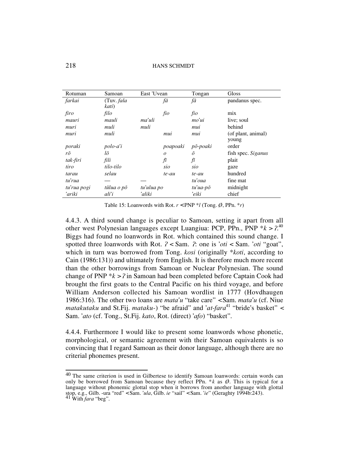| Rotuman     | Samoan            | East 'Uvean |          | Tongan            | Gloss              |
|-------------|-------------------|-------------|----------|-------------------|--------------------|
| farkai      | (Tuv. <i>fala</i> |             | fã       | fā                | pandanus spec.     |
|             | kati)             |             |          |                   |                    |
| firo        | filo              |             | fio      | fio               | mix                |
| mauri       | mauli             | ma'uli      |          | mo'ui             | live; soul         |
| muri        | muli              | muli        |          | mui               | behind             |
| muri        | muli              |             | mui      | mui               | (of plant, animal) |
|             |                   |             |          |                   | young              |
| poraki      | polo-a'i          |             | poapoaki | $p\bar{o}$ -poaki | order              |
| rō          | lō                | $\Omega$    |          | ō                 | fish spec. Siganus |
| tak-firi    | fili              | fī          |          | fī                | plait              |
| tiro        | tilo-tilo         |             | sio      | sio               | gaze               |
| tarau       | selau             |             | te-au    | te-au             | hundred            |
| tu'rua      |                   |             |          | tu'oua            | fine mat           |
| tu'rua pogi | tūlua o pō        | tu'ulua po  |          | tu'ua-pō          | midnight           |
| 'ariki      | ali'i             | 'aliki      |          | 'eiki             | chief              |

Table 15: Loanwords with Rot.  $r < PNP * l$  (Tong. Ø, PPn. \*r)

4.4.3. A third sound change is peculiar to Samoan, setting it apart from all other west Polynesian languages except Luangiua: PCP, PPn., PNP  $* k > 2$ <sup>40</sup> Biggs had found no loanwords in Rot. which contained this sound change. I spotted three loanwords with Rot.  $2 <$  Sam.  $\hat{i}$ : one is ' $\hat{i}$   $\hat{j}$   $\hat{k}$   $\hat{k}$  am. ' $\hat{i}$  "goat", which in turn was borrowed from Tong. kosi (originally \*koti, according to Cain (1986:131)) and ultimately from English. It is therefore much more recent than the other borrowings from Samoan or Nuclear Polynesian. The sound change of PNP  $* k > 2$  in Samoan had been completed before Captain Cook had brought the first goats to the Central Pacific on his third voyage, and before William Anderson collected his Samoan wordlist in 1777 (Hovdhaugen 1986:316). The other two loans are *mata'u* "take care" < Sam. *mata'u* (cf. Niue) *matakutaku* and St.Fij. *mataku*-) "be afraid" and 'at-fara<sup>41</sup> "bride's basket" < Sam. 'ato (cf. Tong., St.Fij. kato, Rot. (direct) 'afo) "basket".

4.4.4. Furthermore I would like to present some loanwords whose phonetic, morphological, or semantic agreement with their Samoan equivalents is so convincing that I regard Samoan as their donor language, although there are no criterial phonemes present.

<sup>40</sup> The same criterion is used in Gilbertese to identify Samoan loanwords: certain words can only be borrowed from Samoan because they reflect PPn. \*k as  $\emptyset$ . This is typical for a language without phonemic glottal stop when it borrows from another language with glottal stop, e.g., Gilb. -ura "red" < Sam. 'ula, Gilb. ie "sail" < Sam. 'ie" (Geraghty 1994b:243).<br>41 With fara "beg".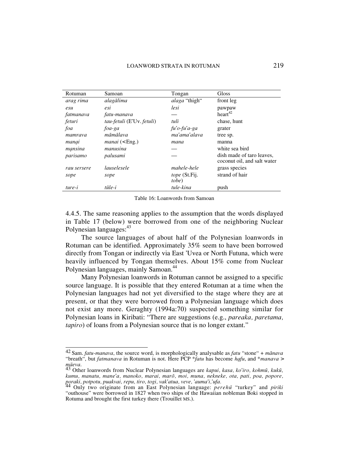| Rotuman     | Samoan                    | Tongan                 | Gloss                                                    |
|-------------|---------------------------|------------------------|----------------------------------------------------------|
| arag rima   | alagālima                 | alaga "thigh"          | front leg                                                |
| esu         | esi                       | lesi                   | pawpaw                                                   |
| fatmanava   | fatu-manava               |                        | heart <sup>42</sup>                                      |
| feturi      | tau-fetuli (E'Uv. fetuli) | tuli                   | chase, hunt                                              |
| foa         | foa-ga                    | fu'o-fu'a-ga           | grater                                                   |
| mamrava     | māmālava                  | ma'ama'alaya           | tree sp.                                                 |
| manai       | manai (< Eng.)            | mana                   | manna                                                    |
| mansina     | manusina                  |                        | white sea bird                                           |
| parisamo    | palusami                  |                        | dish made of taro leaves.<br>coconut oil, and salt water |
| rau sersere | lauselesele               | mahele-hele            | grass species                                            |
| sope        | sope                      | tope (St.Fij.<br>tobe) | strand of hair                                           |
| ture-i      | tūle-i                    | tule-kina              | push                                                     |

Table 16: Loanwords from Samoan

4.4.5. The same reasoning applies to the assumption that the words displayed in Table 17 (below) were borrowed from one of the neighboring Nuclear Polynesian languages:<sup>43</sup>

The source languages of about half of the Polynesian loanwords in Rotuman can be identified. Approximately 35% seem to have been borrowed directly from Tongan or indirectly via East 'Uvea or North Futuna, which were heavily influenced by Tongan themselves. About 15% come from Nuclear Polynesian languages, mainly Samoan.<sup>44</sup>

Many Polynesian loanwords in Rotuman cannot be assigned to a specific source language. It is possible that they entered Rotuman at a time when the Polynesian languages had not yet diversified to the stage where they are at present, or that they were borrowed from a Polynesian language which does not exist any more. Geraghty (1994a:70) suspected something similar for Polynesian loans in Kiribati: "There are suggestions (e.g., *pareaka, paretama, tapiro*) of loans from a Polynesian source that is no longer extant."

<sup>42</sup> Sam. *fatu-manava*, the source word, is morphologically analysable as *fatu* "stone" + *mānava* "breath", but *fatmanava* in Rotuman is not. Here PCP \**fatu* has become *hafu*, and \**manava* >

mäeva.<br><sup>43</sup> Other loanwords from Nuclear Polynesian languages are *kapui, kasa, ko'iro, kohmu, kuku*, *kumu, manatu, mane'a, manoko, marai, maroµ, moi, muna, nekneke, ota, pati, poa, popore,* poraki, potpotu, puakvai, repu, tiro, togi, vak'atua, veve, 'auma'i,'ufa.<br><sup>44</sup> Only two originate from an East Polynesian language: *perehū* "turkey" and *piriki* 

<sup>&</sup>quot;outhouse" were borrowed in 1827 when two ships of the Hawaiian nobleman Boki stopped in Rotuma and brought the first turkey there (Trouillet MS.).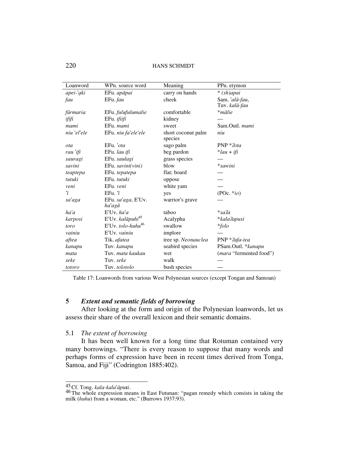**HANS SCHMIDT** 

| Loanword       | WPn. source word              | Meaning                       | PPn. etymon             |
|----------------|-------------------------------|-------------------------------|-------------------------|
| apei-'aki      | EFu. apāpai                   | carry on hands                | $*(sh)$ apai            |
| fau            | EFu. fau                      | cheek                         | Sam. 'alā-fau,          |
|                |                               |                               | Tuv. kalā-fau           |
| fürmaria       | EFu. <i>fulufulumalie</i>     | comfortable                   | *mālie                  |
| ififi          | EFu. ifiifi                   | kidney                        |                         |
| mami           | EFu. mami                     | sweet                         | Sam.Outl. mami          |
| niu 'el'ele    | EFu. niu fa'ele'ele           | short coconut palm<br>species | niu                     |
| ota            | EFu. 'ota                     | sago palm                     | $PNP * 2ota$            |
| rau 'ifi       | EFu. lau ifi                  | beg pardon                    | $*lau + ifi$            |
| sauragi        | EFu. saulagi                  | grass species                 |                         |
| savini         | EFu. savini(vini)             | blow                          | *sawini                 |
| teaptepa       | EFu. tepatepa                 | flat; board                   |                         |
| tutuki         | EFu. tutuki                   | oppose                        |                         |
| veni           | EFu. veni                     | white yam                     |                         |
| $\overline{7}$ | EFu. 7i                       | yes                           | (POc. $*io$ )           |
| sa'aga         | EFu. sa'aga, E'Uv.<br>ha'agā  | warrior's grave               |                         |
| ha'a           | E'Uv. ha'a                    | taboo                         | *sa?a                   |
| karposi        | E'Uv. kalāpuhi <sup>45</sup>  | Acalypha                      | *kala?apusi             |
| toro           | E'Uv. tolo-huhu <sup>46</sup> | swallow                       | $*_{folo}$              |
| vainiu         | E'Uv. vainiu                  | implore                       |                         |
| aftea          | Tik. afatea                   | tree sp. Neonauclea           | PNP *? afa-tea          |
| kanapu         | Tuv. kanapu                   | seabird species               | PSam.Outl. * kanapu     |
| mata           | Tuv. <i>mata kaukau</i>       | wet                           | (mara "fermented food") |
| seke           | Tuv. seke                     | walk                          |                         |
| totoro         | Tuv. tolotolo                 | bush species                  |                         |

Table 17: Loanwords from various West Polynesian sources (except Tongan and Samoan)

#### 5 **Extent and semantic fields of borrowing**

After looking at the form and origin of the Polynesian loanwords, let us assess their share of the overall lexicon and their semantic domains.

# 5.1 The extent of borrowing

It has been well known for a long time that Rotuman contained very many borrowings. "There is every reason to suppose that many words and perhaps forms of expression have been in recent times derived from Tonga, Samoa, and Fiji" (Codrington 1885:402).

<sup>&</sup>lt;sup>45</sup> Cf. Tong. *kala-kala'āpusi*.<br><sup>46</sup> The whole expression means in East Futunan: "pagan remedy which consists in taking the milk (huhu) from a woman, etc." (Burrows 1937:93).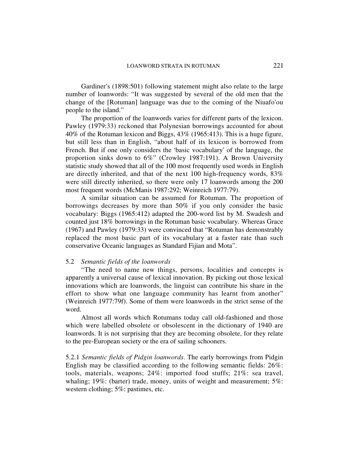Gardiner's (1898:501) following statement might also relate to the large number of loanwords: "It was suggested by several of the old men that the change of the [Rotuman] language was due to the coming of the Niuafo'ou people to the island."

The proportion of the loanwords varies for different parts of the lexicon. Pawley (1979:33) reckoned that Polynesian borrowings accounted for about 40% of the Rotuman lexicon and Biggs, 43% (1965:413). This is a huge figure, but still less than in English, "about half of its lexicon is borrowed from French. But if one only considers the 'basic vocabulary' of the language, the proportion sinks down to 6%" (Crowley 1987:191). A Brown University statistic study showed that all of the 100 most frequently used words in English are directly inherited, and that of the next 100 high-frequency words, 83% were still directly inherited, so there were only 17 loanwords among the 200 most frequent words (McManis 1987:292; Weinreich 1977:79).

A similar situation can be assumed for Rotuman. The proportion of borrowings decreases by more than 50% if you only consider the basic vocabulary: Biggs (1965:412) adapted the 200-word list by M. Swadesh and counted just 18% borrowings in the Rotuman basic vocabulary. Whereas Grace (1967) and Pawley (1979:33) were convinced that "Rotuman has demonstrably replaced the most basic part of its vocabulary at a faster rate than such conservative Oceanic languages as Standard Fijian and Mota".

#### 5.2 *Semantic fields of the loanwords*

"The need to name new things, persons, localities and concepts is apparently a universal cause of lexical innovation. By picking out those lexical innovations which are loanwords, the linguist can contribute his share in the effort to show what one language community has learnt from another" (Weinreich 1977:79f). Some of them were loanwords in the strict sense of the word.

Almost all words which Rotumans today call old-fashioned and those which were labelled obsolete or obsolescent in the dictionary of 1940 are loanwords. It is not surprising that they are becoming obsolete, for they relate to the pre-European society or the era of sailing schooners.

5.2.1 *Semantic fields of Pidgin loanwords.* The early borrowings from Pidgin English may be classified according to the following semantic fields: 26%: tools, materials, weapons; 24%: imported food stuffs; 21%: sea travel, whaling; 19%: (barter) trade, money, units of weight and measurement; 5%: western clothing; 5%: pastimes, etc.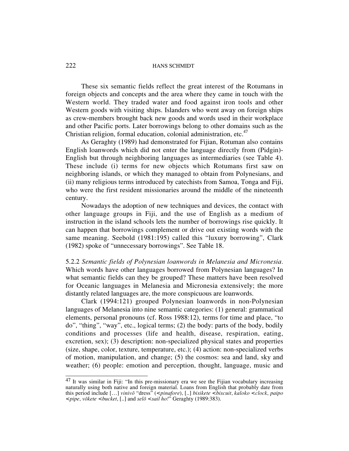These six semantic fields reflect the great interest of the Rotumans in foreign objects and concepts and the area where they came in touch with the Western world. They traded water and food against iron tools and other Western goods with visiting ships. Islanders who went away on foreign ships as crew-members brought back new goods and words used in their workplace and other Pacific ports. Later borrowings belong to other domains such as the Christian religion, formal education, colonial administration, etc.<sup>47</sup>

As Geraghty (1989) had demonstrated for Fijian, Rotuman also contains English loanwords which did not enter the language directly from (Pidgin)- English but through neighboring languages as intermediaries (see Table 4). These include (i) terms for new objects which Rotumans first saw on neighboring islands, or which they managed to obtain from Polynesians, and (ii) many religious terms introduced by catechists from Samoa, Tonga and Fiji, who were the first resident missionaries around the middle of the nineteenth century.

Nowadays the adoption of new techniques and devices, the contact with other language groups in Fiji, and the use of English as a medium of instruction in the island schools lets the number of borrowings rise quickly. It can happen that borrowings complement or drive out existing words with the same meaning. Seebold (1981:195) called this "luxury borrowing", Clark (1982) spoke of "unnecessary borrowings". See Table 18.

5.2.2 *Semantic fields of Polynesian loanwords in Melanesia and Micronesia.* Which words have other languages borrowed from Polynesian languages? In what semantic fields can they be grouped? These matters have been resolved for Oceanic languages in Melanesia and Micronesia extensively; the more distantly related languages are, the more conspicuous are loanwords.

Clark (1994:121) grouped Polynesian loanwords in non-Polynesian languages of Melanesia into nine semantic categories: (1) general: grammatical elements, personal pronouns (cf. Ross 1988:12), terms for time and place, "to do", "thing", "way", etc., logical terms; (2) the body: parts of the body, bodily conditions and processes (life and health, disease, respiration, eating, excretion, sex); (3) description: non-specialized physical states and properties (size, shape, color, texture, temperature, etc.); (4) action: non-specialized verbs of motion, manipulation, and change; (5) the cosmos: sea and land, sky and weather; (6) people: emotion and perception, thought, language, music and

 $\frac{47 \text{ It was similar in Fiji: "In this pre-missionary era we see the Fijian vocabulary increasing}$ naturally using both native and foreign material. Loans from English that probably date from this period include [®] *vinivoµ*"dress" (< *pinafore*), [..] *bisikete* < *biscuit*, *kaloko* < *clock*, *paipo*  $\langle$  *pipe*, *v* $\delta$ *kete*  $\langle$  *bucket*, [..] and  $\delta$ *elo*  $\langle$  *sail ho!*" Geraghty (1989:383).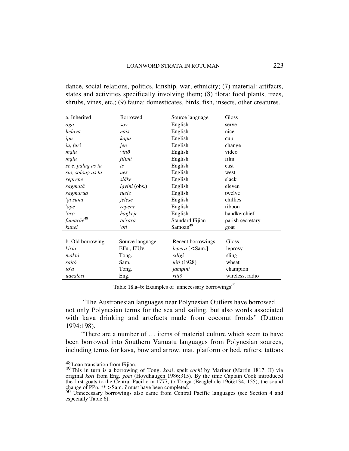dance, social relations, politics, kinship, war, ethnicity; (7) material: artifacts, states and activities specifically involving them; (8) flora: food plants, trees, shrubs, vines, etc.; (9) fauna: domesticates, birds, fish, insects, other creatures.

| a. Inherited          | Borrowed        | Source language         | Gloss            |
|-----------------------|-----------------|-------------------------|------------------|
| aga                   | söv             | English                 | serve            |
| helava                | nais            | English                 | nice             |
| ipu                   | kapa            | English                 | cup              |
| iu, furi              | jen             | English                 | change           |
| malu                  | vitiō           | English                 | video            |
| malu                  | filimi          | English                 | film             |
| se'e, palag as ta     | is              | English                 | east             |
| sio, soloag as ta     | ues             | English                 | west             |
| reprepe               | släke           | English                 | slack            |
| sagmatā               | lavini (obs.)   | English                 | eleven           |
| sagmarua              | tuele           | English                 | twelve           |
| 'ai sunu              | jelese          | English                 | chillies         |
| 'äpe                  | repene          | English                 | ribbon           |
| 'oro                  | hagkeje         | English                 | handkerchief     |
| fūmaräe <sup>48</sup> | tü'rarā         | Standard Fijian         | parish secretary |
| kunei                 | 'oti            | $S$ amoan <sup>49</sup> | goat             |
|                       |                 |                         |                  |
| b. Old borrowing      | Source language | Recent borrowings       | Gloss            |
| kiria                 | EFu., E'Uv.     | lepera [< Sam.]         | leprosy          |
| maktā                 | Tong.           | siligi                  | sling            |
| saitō                 | Sam.            | uiti (1928)             | wheat            |
| to'a                  | Tong.           | jampini                 | champion         |
| uaealesi              | Eng.            | ritiō                   | wireless, radio  |

Table 18.a–b: Examples of 'unnecessary borrowings'<sup>50</sup>

"The Austronesian languages near Polynesian Outliers have borrowed not only Polynesian terms for the sea and sailing, but also words associated with kava drinking and artefacts made from coconut fronds" (Dutton 1994:198).

"There are a number of ... items of material culture which seem to have been borrowed into Southern Vanuatu languages from Polynesian sources, including terms for kava, bow and arrow, mat, platform or bed, rafters, tattoos

<sup>&</sup>lt;sup>48</sup> Loan translation from Fijian.<br><sup>49</sup> This in turn is a borrowing of Tong. *kosi*, spelt *cochi* by Mariner (Martin 1817, II) via original *koti* from Eng. *goat* (Hovdhaugen 1986:315). By the time Captain Cook introduce the first goats to the Central Pacific in 1777, to Tonga (Beaglehole 1966:134, 155), the sound change of PPn. *\*k* > Sam. 7 must have been completed.<br>50 Unnecessary borrowings also came from Central Pacific languages (see Section 4 and

especially Table 6).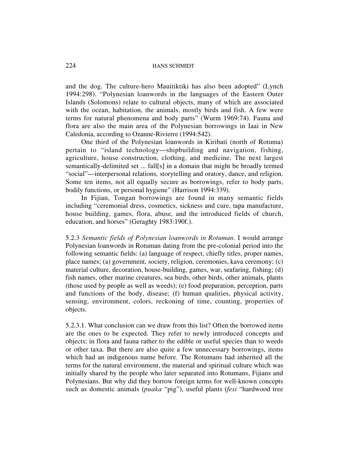and the dog. The culture-hero Mauitiktiki has also been adopted" (Lynch 1994:298). "Polynesian loanwords in the languages of the Eastern Outer Islands (Solomons) relate to cultural objects, many of which are associated with the ocean, habitation, the animals, mostly birds and fish. A few were terms for natural phenomena and body parts" (Wurm 1969:74). Fauna and flora are also the main area of the Polynesian borrowings in Iaai in New Caledonia, according to Ozanne-Rivierre (1994:542).

One third of the Polynesian loanwords in Kiribati (north of Rotuma) pertain to "island technology—shipbuilding and navigation, fishing, agriculture, house construction, clothing, and medicine. The next largest semantically-delimited set ... fall[s] in a domain that might be broadly termed "social"—interpersonal relations, storytelling and oratory, dance, and religion. Some ten items, not all equally secure as borrowings, refer to body parts, bodily functions, or personal hygiene" (Harrison 1994:339).

In Fijian, Tongan borrowings are found in many semantic fields including "ceremonial dress, cosmetics, sickness and cure, tapa manufacture, house building, games, flora, abuse, and the introduced fields of church, education, and horses" (Geraghty 1983:190f.).

5.2.3 *Semantic fields of Polynesian loanwords in Rotuman.* I would arrange Polynesian loanwords in Rotuman dating from the pre-colonial period into the following semantic fields: (a) language of respect, chiefly titles, proper names, place names; (a) government, society, religion, ceremonies, kava ceremony; (c) material culture, decoration, house-building, games, war, seafaring, fishing; (d) fish names, other marine creatures, sea birds, other birds, other animals, plants (those used by people as well as weeds); (e) food preparation, perception, parts and functions of the body, disease; (f) human qualities, physical activity, sensing, environment, colors, reckoning of time, counting, properties of objects.

5.2.3.1. What conclusion can we draw from this list? Often the borrowed items are the ones to be expected. They refer to newly introduced concepts and objects; in flora and fauna rather to the edible or useful species than to weeds or other taxa. But there are also quite a few unnecessary borrowings, items which had an indigenous name before. The Rotumans had inherited all the terms for the natural environment, the material and spiritual culture which was initially shared by the people who later separated into Rotumans, Fijians and Polynesians. But why did they borrow foreign terms for well-known concepts such as domestic animals (*puaka* "pig"), useful plants (*fesi* "hardwood tree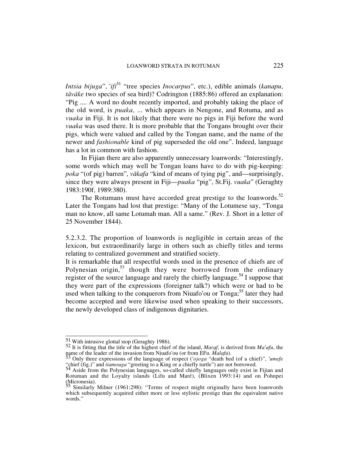*Intsia bijuga*", '*ifi*<sup>51</sup> "tree species *Inocarpus*", etc.), edible animals (*kanapu*, *täväke* two species of sea bird)? Codrington (1885:86) offered an explanation: "Pig .... A word no doubt recently imported, and probably taking the place of the old word, is *puaka*, ... which appears in Nengone, and Rotuma, and as *vuaka* in Fiji. It is not likely that there were no pigs in Fiji before the word *vuaka* was used there. It is more probable that the Tongans brought over their pigs, which were valued and called by the Tongan name, and the name of the newer and *fashionable* kind of pig superseded the old one". Indeed, language has a lot in common with fashion.

In Fijian there are also apparently unnecessary loanwords: "Interestingly, some words which may well be Tongan loans have to do with pig-keeping: *poka* "(of pig) barren", *vākafa* "kind of means of tying pig", and—surprisingly, since they were always present in Fiji—*puaka* "pig", St.Fij. *vuaka*" (Geraghty 1983:190f, 1989:380).

The Rotumans must have accorded great prestige to the loanwords.<sup>52</sup> Later the Tongans had lost that prestige: "Many of the Lotumese say, "Tonga man no know, all same Lotumah man. All a same." (Rev. J. Short in a letter of 25 November 1844).

5.2.3.2. The proportion of loanwords is negligible in certain areas of the lexicon, but extraordinarily large in others such as chiefly titles and terms relating to centralized government and stratified society.

It is remarkable that all respectful words used in the presence of chiefs are of Polynesian origin, $53$  though they were borrowed from the ordinary register of the source language and rarely the chiefly language.<sup>54</sup> I suppose that they were part of the expressions (foreigner talk?) which were or had to be used when talking to the conquerors from Niuafo'ou or Tonga;<sup>55</sup> later they had become accepted and were likewise used when speaking to their successors, the newly developed class of indigenous dignitaries.

 <sup>51</sup> With intrusive glottal stop (Geraghty 1986). <sup>52</sup> It is fitting that the title of the highest chief of the island, *Maraòf*, is derived from *Ma'afu*, the name of the leader of the invasion from Niuafo'ou (or from EFu. *Malafu*). <sup>53</sup> Only three expressions of the language of respect (*'ojoga* "death bed (of a chief)", *'umefe*

<sup>&</sup>quot;chief (fig.)" and *tiamouga* "greeting to a King or a chiefly turtle") are not borrowed. <sup>54</sup> Aside from the Polynesian languages, so-called chiefly languages only exist in Fijian and Rotuman and the Loyalty islands (Lifu and Maré), (Blixen 1993:14) and on Pohnpei (Micronesia).<br><sup>55</sup> Similarly Milner (1961:298): "Terms of respect might originally have been loanwords

which subsequently acquired either more or less stylistic prestige than the equivalent native words."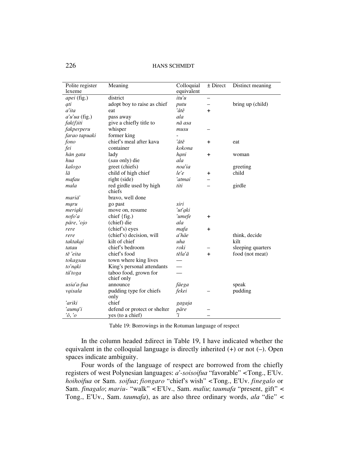**HANS SCHMIDT** 

| Polite register<br>lexeme | Meaning                             | Colloquial<br>equivalent | $±$ Direct               | Distinct meaning  |
|---------------------------|-------------------------------------|--------------------------|--------------------------|-------------------|
| apei (fig.)               | district                            | itu'u                    | -                        |                   |
| ati                       | adopt boy to raise as chief         | putu                     |                          | bring up (child)  |
| a'ita                     | eat                                 | 'ātē                     | ÷                        |                   |
| $a'u'ua$ (fig.)           | pass away                           | ala                      |                          |                   |
| fak(f)iti                 | give a chiefly title to             | nā asa                   |                          |                   |
| fakperperu                | whisper                             | musu                     |                          |                   |
| farao tapuaki             | former king                         |                          |                          |                   |
| fono                      | chief's meal after kava             | 'ātē                     |                          |                   |
| fei                       | container                           | kokona                   | +                        | eat               |
|                           |                                     |                          |                          |                   |
| hån gata                  | lady                                | hani                     | $\ddot{}$                | woman             |
| hua                       | (sau only) die                      | ala                      |                          |                   |
| kalogo                    | greet (chiefs)                      | noa'ia                   |                          | greeting          |
| lā                        | child of high chief                 | le'e                     | ÷                        | child             |
| mafau                     | right (side)                        | 'atmai                   |                          |                   |
| mala                      | red girdle used by high<br>chiefs   | titi                     |                          | girdle            |
| mariå'                    | bravo, well done                    |                          |                          |                   |
| maru                      | go past                             | siri                     |                          |                   |
| meriaki                   | move on, resume                     | 'ut'aki                  |                          |                   |
| nofo'a                    | chief {fig.)                        | 'umefe                   | +                        |                   |
| päre, 'ojo                | (chief) die                         | ala                      |                          |                   |
| rere                      | (chief's) eyes                      | mafa                     | +                        |                   |
| rere                      | (chief's) decision, will            | a'häe                    |                          | think, decide     |
| taktakai                  | kilt of chief                       | uha                      |                          | kilt              |
| tatau                     | chief's bedroom                     | roki                     |                          | sleeping quarters |
| tē 'eita                  | chief's food                        | tēla'ā                   | $\ddot{}$                | food (not meat)   |
| tokagsau                  | town where king lives               |                          |                          |                   |
| to'naki                   | King's personal attendants          |                          |                          |                   |
| tü'toga                   | taboo food, grown for<br>chief only |                          |                          |                   |
| usia'a-fua                | announce                            | fäega                    |                          | speak             |
| vaisala                   | pudding type for chiefs             | fekei                    |                          | pudding           |
|                           | only                                |                          |                          |                   |
| 'ariki                    | chief                               | gagaja                   |                          |                   |
| 'auma'i                   | defend or protect or shelter        | päre                     |                          |                   |
| $\overline{0, '0}$        | yes (to a chief)                    | $\bar{i}$                | $\overline{\phantom{0}}$ |                   |

Table 19: Borrowings in the Rotuman language of respect

In the column headed ±direct in Table 19, I have indicated whether the equivalent in the colloquial language is directly inherited  $(+)$  or not  $(-)$ . Open spaces indicate ambiguity.

Four words of the language of respect are borrowed from the chiefly registers of west Polynesian languages:  $a^2$ -soisoifua "favorable" < Tong., E'Uv. hoihoifua or Sam. soifua; fiongaro "chief's wish" < Tong., E'Uv. finegalo or Sam. finagalo; mariu- "walk" < E'Uv., Sam. maliu; taumafa "present, gift" < Tong., E'Uv., Sam. taumafa), as are also three ordinary words, ala "die" <

226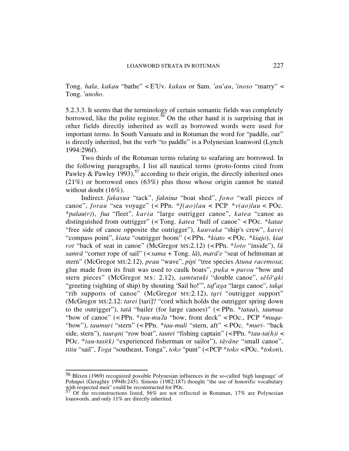Tong. *hala*, *kakau* "bathe" < E'Uv. *kakau* or Sam. '*au'au*, '*inoso* "marry" < Tong. '*unoho*.

5.2.3.3. It seems that the terminology of certain semantic fields was completely borrowed, like the polite register.<sup>56</sup> On the other hand it is surprising that in other fields directly inherited as well as borrowed words were used for important terms. In South Vanuatu and in Rotuman the word for "paddle, oar" is directly inherited, but the verb "to paddle" is a Polynesian loanword (Lynch 1994:296f).

Two thirds of the Rotuman terms relating to seafaring are borrowed. In the following paragraphs, I list all nautical terms (proto-forms cited from Pawley & Pawley 1993),  $57$  according to their origin, the directly inherited ones (21%) or borrowed ones (63%) plus those whose origin cannot be stated without doubt  $(16\%)$ .

Indirect. *fakasua* "tack", *fakniua* "boat shed", *fono* "wall pieces of canoe", *forau* "sea voyage" (< PPn. *\*f(ao)lau* < PCP *\*v(ao)lau* < POc. *\*palau(r)*), *fua* "fleet", *karia* "large outrigger canoe", *katea* "canoe as distinguished from outrigger" (< Tong. *katea* "hull of canoe" < POc. *\*katae* "free side of canoe opposite the outrigger"), *kauvaka* "ship's crew", *kavei* "compass point", *kiata* "outrigger boom" (< PPn. *\*kiato* < POc. *\*kiajo*), *kiat rot* "back of seat in canoe" (McGregor Ms:2.12) (< PPn.  $*$ *loto* "inside"), *lu samraµ*"corner rope of sail" (< *sama* + Tong. *laµ*), *mara¨'e* "seat of helmsman at stern" (McGregor MS:2.12), *peau* "wave", *pipi* "tree species *Atuna racemosa*; glue made from its fruit was used to caulk boats", *puka* = *purou* "bow and stern pieces" (McGregor M<sub>S</sub>: 2.12), *samtutuki* "double canoe",  $s\bar{\epsilon}l\bar{\delta}$ 'aki "greeting (sighting of ship) by shouting 'Sail ho!'", *taf 'aga* "large canoe", *takaòi* "rib supports of canoe" (McGregor Ms:2.12), *tari* "outrigger support" (McGregor MS:2.12: *tarei* [tari]? "cord which holds the outrigger spring down to the outrigger"), *tata* "bailer (for large canoes)" (< PPn. *\*tataa*), *taumua* "bow of canoe" (< PPn. *\*tau-mu*/*a* "bow, front deck" < POc., PCP *\*muqa-* "bow"), *taumuri* "stern" (< PPn. *\*tau-muli* "stern, aft" < POc. *\*muri-* "back side, stern"), *taurani* "row boat", *tautei* "fishing captain" (< PPn.  $*tau(h)i$  < POc. *\*tau-tasi(k)* "experienced fisherman or sailor"), *täväne* "small canoe", *titiu* "sail", *Toga* "southeast, Tonga", *toko* "punt" (< PCP *\*toko* < POc. *\*tokon*),

 <sup>56</sup> Blixen (1969) recognized possible Polynesian influences in the so-called 'high language' of Pohnpei (Geraghty 1994b:245). Simons (1982:187) thought "the use of honorific vocabulary

with respected men" could be reconstructed for POc.<br><sup>57</sup> Of the reconstructions listed, 56% are not reflected in Rotuman, 17% are Polynesian loanwords, and only 11% are directly inherited.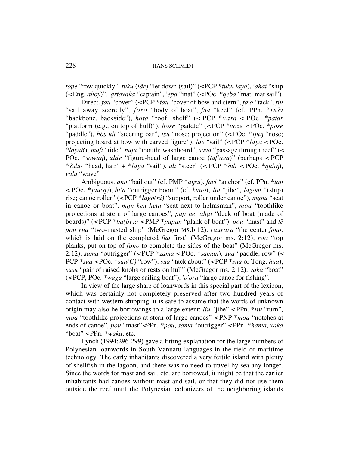tope "row quickly", tuku (läe) "let down (sail)" (< PCP \*tuku laya), 'ahai "ship  $\left( \langle$  Eng. *ahoy*)", '*artovaka* "captain", '*epa* "mat"  $\left( \langle$  POc. \**aeba* "mat, mat sail")

Direct. fau "cover" (< PCP \*tau "cover of bow and stern", fa'o "tack", fiu "sail away secretly", foro "body of boat", fua "keel" (cf. PPn. \*tula "backbone, backside"), hata "roof; shelf" (<  $PCP * vata$  <  $POc. * patar$ "platform (e.g., on top of hull)"), hose "paddle" (< PCP \*voze < POc. \*pose "paddle"), hös uli "steering oar", isu "nose; projection" (< POc. \*ijun "nose; projecting board at bow with carved figure"), *läe* "sail" (< PCP  $*lawa <$  POc. \*layaR), mafi "tide", nuju "mouth; washboard", sava "passage through reef" (< POc. \*sawan),  $\overline{u}$  and integral  $\overline{u}$  and  $\overline{u}$  and  $\overline{u}$  and  $\overline{u}$  and  $\overline{u}$  and  $\overline{u}$  (perhaps  $\overline{v}$  PCP \* Pulu- "head, hair" + \* laya "sail"), uli "steer" (< PCP \* Puli < POc. \* qulin), valu "wave"

Ambiguous. anu "bail out" (cf. PMP \*ansu), favi "anchor" (cf. PPn. \*tau  $\langle$  POc. \**jau(q))*, *hi'a* "outrigger boom" (cf. *kiato)*, *liu* "jibe", *lagoni* "(ship) rise; canoe roller" (<  $PCP * lago(ni)$  "support, roller under canoe"), manu "seat in canoe or boat", man keu heta "seat next to helmsman", moa "toothlike" projections at stern of large canoes", pap ne 'ahai "deck of boat (made of boards)" (< PCP \*ba(bv)a < PMP \*papan "plank of boat"), pou "mast" and tē pou rua "two-masted ship" (McGregor Ms.b:12), raurara "the center fono, which is laid on the completed *fua* first" (McGregor ms. 2:12), roa "top planks, put on top of *fono* to complete the sides of the boat" (McGregor ms. 2:12), sama "outrigger" (<  $PCP * zama < POc$ . \*saman), sua "paddle, row" (< PCP  $*$ sua < POc.  $*$ sua(C) "row"), sua "tack about" (< PCP  $*$ sua or Tong. hua), susu "pair of raised knobs or rests on hull" (McGregor ms. 2:12), vaka "boat"  $\langle$  PCP, POc. \**waga* "large sailing boat"), *'o'ora* "large canoe for fishing".

In view of the large share of loanwords in this special part of the lexicon. which was certainly not completely preserved after two hundred years of contact with western shipping, it is safe to assume that the words of unknown origin may also be borrowings to a large extent:  $liu$  "jibe" < PPn. \* $liu$  "turn", *moa* "toothlike projections at stern of large canoes" < PNP \**moa* "notches at ends of canoe", pou "mast"<PPn. \*pou, sama "outrigger" < PPn. \*hama, vaka "boat" < PPn. \*waka, etc.

Lynch (1994:296-299) gave a fitting explanation for the large numbers of Polynesian loanwords in South Vanuatu languages in the field of maritime technology. The early inhabitants discovered a very fertile island with plenty of shellfish in the lagoon, and there was no need to travel by sea any longer. Since the words for mast and sail, etc. are borrowed, it might be that the earlier inhabitants had canoes without mast and sail, or that they did not use them outside the reef until the Polynesian colonizers of the neighboring islands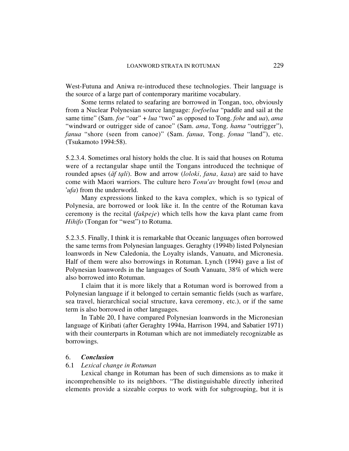West-Futuna and Aniwa re-introduced these technologies. Their language is the source of a large part of contemporary maritime vocabulary.

Some terms related to seafaring are borrowed in Tongan, too, obviously from a Nuclear Polynesian source language: *foefoelua* "paddle and sail at the same time" (Sam. *foe* "oar" + *lua* "two" as opposed to Tong. *fohe* and *ua*), *ama* "windward or outrigger side of canoe" (Sam. *ama*, Tong. *hama* "outrigger"), *fanua* "shore (seen from canoe)" (Sam. *fanua*, Tong. *fonua* "land"), etc. (Tsukamoto 1994:58).

5.2.3.4. Sometimes oral history holds the clue. It is said that houses on Rotuma were of a rectangular shape until the Tongans introduced the technique of rounded apses (*at tali*). Bow and arrow (*loloki, fana, kasa*) are said to have come with Maori warriors. The culture hero *Tonu'av* brought fowl (*moa* and '*ufa*) from the underworld.

Many expressions linked to the kava complex, which is so typical of Polynesia, are borrowed or look like it. In the centre of the Rotuman kava ceremony is the recital (*fakpeje*) which tells how the kava plant came from *Hihifo* (Tongan for "west") to Rotuma.

5.2.3.5. Finally, I think it is remarkable that Oceanic languages often borrowed the same terms from Polynesian languages. Geraghty (1994b) listed Polynesian loanwords in New Caledonia, the Loyalty islands, Vanuatu, and Micronesia. Half of them were also borrowings in Rotuman. Lynch (1994) gave a list of Polynesian loanwords in the languages of South Vanuatu, 38% of which were also borrowed into Rotuman.

I claim that it is more likely that a Rotuman word is borrowed from a Polynesian language if it belonged to certain semantic fields (such as warfare, sea travel, hierarchical social structure, kava ceremony, etc.), or if the same term is also borrowed in other languages.

In Table 20, I have compared Polynesian loanwords in the Micronesian language of Kiribati (after Geraghty 1994a, Harrison 1994, and Sabatier 1971) with their counterparts in Rotuman which are not immediately recognizable as borrowings.

#### 6. *Conclusion*

#### 6.1 *Lexical change in Rotuman*

Lexical change in Rotuman has been of such dimensions as to make it incomprehensible to its neighbors. "The distinguishable directly inherited elements provide a sizeable corpus to work with for subgrouping, but it is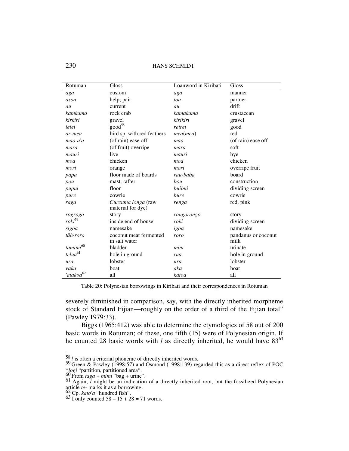| Rotuman               | Gloss                                   | Loanword in Kiribati | Gloss                       |
|-----------------------|-----------------------------------------|----------------------|-----------------------------|
| aga                   | custom                                  | aga                  | manner                      |
| asoa                  | help; pair                              | toa                  | partner                     |
| au                    | current                                 | au                   | drift                       |
| kamkama               | rock crab                               | kamakama             | crustacean                  |
| kirkiri               | gravel                                  | kirikiri             | gravel                      |
| lelei                 | $good^{58}$                             | reirei               | good                        |
| ar-mea                | bird sp. with red feathers              | mea(mea)             | red                         |
| $mao-a'a$             | (of rain) ease off                      | mao                  | (of rain) ease off          |
| mara                  | (of fruit) overripe                     | mara                 | soft                        |
| mauri                 | live                                    | mauri                | bye                         |
| moa                   | chicken                                 | moa                  | chicken                     |
| mori                  | orange                                  | mori                 | overripe fruit              |
| papa                  | floor made of boards                    | rau-baba             | board                       |
| pou                   | mast, rafter                            | bou                  | construction                |
| pupui                 | floor                                   | huihui               | dividing screen             |
| pure                  | cowrie                                  | <i>bure</i>          | cowrie                      |
| raga                  | Curcuma longa (raw<br>material for dye) | renga                | red, pink                   |
| rogrogo               | story                                   | rongorongo           | story                       |
| $\mathit{roki}^{59}$  | inside end of house                     | roki                 | dividing screen             |
| sigoa                 | namesake                                | igoa                 | namesake                    |
| täh-roro              | coconut meat fermented<br>in salt water | roro                 | pandanus or coconut<br>milk |
| $tamini^{60}$         | bladder                                 | mim                  | urinate                     |
| $telua^{61}$          | hole in ground                          | rua                  | hole in ground              |
| ura                   | lobster                                 | ura                  | lobster                     |
| vaka                  | boat                                    | aka                  | boat                        |
| 'atakoa <sup>62</sup> | all                                     | katoa                | all                         |

Table 20: Polynesian borrowings in Kiribati and their correspondences in Rotuman

severely diminished in comparison, say, with the directly inherited morpheme stock of Standard Fijian—roughly on the order of a third of the Fijian total" (Pawley 1979:33).

Biggs (1965:412) was able to determine the etymologies of 58 out of 200 basic words in Rotuman; of these, one fifth (15) were of Polynesian origin. If he counted 28 basic words with  $l$  as directly inherited, he would have  $83^{63}$ 

<sup>58</sup> *l* is often a criterial phoneme of directly inherited words.<br><sup>59</sup> Green & Pawley (1998:57) and Osmond (1998:139) regarded this as a direct reflex of POC *\*logi* "partition, partitioned area". <sup>60</sup> From *taga* + *mimi* "bag + urine". <sup>61</sup> Again, *<sup>l</sup>* might be an indication of a directly inherited root, but the fossilized Polynesian

article *te*- marks it as a borrowing. 62 Cp. *kato'a* "hundred fish".

 $63$  I only counted  $58 - 15 + 28 = 71$  words.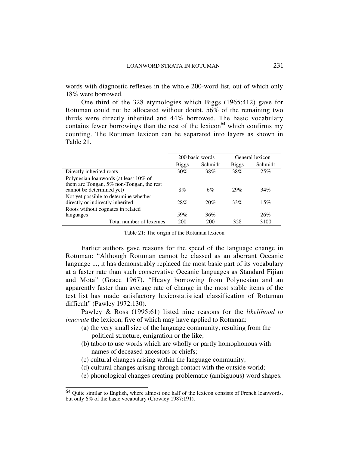words with diagnostic reflexes in the whole 200-word list, out of which only 18% were borrowed.

One third of the 328 etymologies which Biggs (1965:412) gave for Rotuman could not be allocated without doubt. 56% of the remaining two thirds were directly inherited and 44% borrowed. The basic vocabulary contains fewer borrowings than the rest of the lexicon<sup>64</sup> which confirms my counting. The Rotuman lexicon can be separated into layers as shown in Table 21.

|                                                                                                                | 200 basic words |         |              | General lexicon |
|----------------------------------------------------------------------------------------------------------------|-----------------|---------|--------------|-----------------|
|                                                                                                                | <b>Biggs</b>    | Schmidt | <b>Biggs</b> | Schmidt         |
| Directly inherited roots                                                                                       | 30%             | 38%     | 38%          | 25%             |
| Polynesian loanwords (at least 10% of<br>them are Tongan, 5% non-Tongan, the rest<br>cannot be determined yet) | 8%              | 6%      | 29%          | 34%             |
| Not yet possible to determine whether<br>directly or indirectly inherited                                      | 28%             | 20%     | 33%          | 15%             |
| Roots without cognates in related<br>languages                                                                 | 59%             | 36%     |              | 26%             |
| Total number of lexemes                                                                                        | 200             | 200     | 328          | 3100            |

Table 21: The origin of the Rotuman lexicon

Earlier authors gave reasons for the speed of the language change in Rotuman: "Although Rotuman cannot be classed as an aberrant Oceanic language ..., it has demonstrably replaced the most basic part of its vocabulary at a faster rate than such conservative Oceanic languages as Standard Fijian and Mota" (Grace 1967). "Heavy borrowing from Polynesian and an apparently faster than average rate of change in the most stable items of the test list has made satisfactory lexicostatistical classification of Rotuman difficult" (Pawley 1972:130).

Pawley & Ross (1995:61) listed nine reasons for the *likelihood to innovate* the lexicon, five of which may have applied to Rotuman:

- (a) the very small size of the language community, resulting from the political structure, emigration or the like;
- (b) taboo to use words which are wholly or partly homophonous with names of deceased ancestors or chiefs;
- (c) cultural changes arising within the language community;
- (d) cultural changes arising through contact with the outside world;
- (e) phonological changes creating problematic (ambiguous) word shapes.

 <sup>64</sup> Quite similar to English, where almost one half of the lexicon consists of French loanwords, but only 6% of the basic vocabulary (Crowley 1987:191).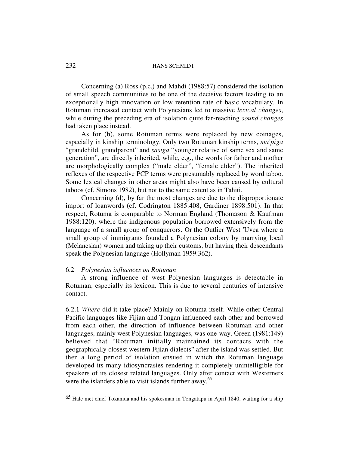Concerning (a) Ross (p.c.) and Mahdi (1988:57) considered the isolation of small speech communities to be one of the decisive factors leading to an exceptionally high innovation or low retention rate of basic vocabulary. In Rotuman increased contact with Polynesians led to massive *lexical changes*, while during the preceding era of isolation quite far-reaching *sound changes* had taken place instead.

As for (b), some Rotuman terms were replaced by new coinages, especially in kinship terminology. Only two Rotuman kinship terms, *ma'piga* "grandchild, grandparent" and *sasiga* "younger relative of same sex and same generation", are directly inherited, while, e.g., the words for father and mother are morphologically complex ("male elder", "female elder"). The inherited reflexes of the respective PCP terms were presumably replaced by word taboo. Some lexical changes in other areas might also have been caused by cultural taboos (cf. Simons 1982), but not to the same extent as in Tahiti.

Concerning (d), by far the most changes are due to the disproportionate import of loanwords (cf. Codrington 1885:408, Gardiner 1898:501). In that respect, Rotuma is comparable to Norman England (Thomason & Kaufman 1988:120), where the indigenous population borrowed extensively from the language of a small group of conquerors. Or the Outlier West 'Uvea where a small group of immigrants founded a Polynesian colony by marrying local (Melanesian) women and taking up their customs, but having their descendants speak the Polynesian language (Hollyman 1959:362).

#### 6.2 *Polynesian influences on Rotuman*

A strong influence of west Polynesian languages is detectable in Rotuman, especially its lexicon. This is due to several centuries of intensive contact.

6.2.1 *Where* did it take place? Mainly on Rotuma itself. While other Central Pacific languages like Fijian and Tongan influenced each other and borrowed from each other, the direction of influence between Rotuman and other languages, mainly west Polynesian languages, was one-way. Green (1981:149) believed that "Rotuman initially maintained its contacts with the geographically closest western Fijian dialects" after the island was settled. But then a long period of isolation ensued in which the Rotuman language developed its many idiosyncrasies rendering it completely unintelligible for speakers of its closest related languages. Only after contact with Westerners were the islanders able to visit islands further away.<sup>65</sup>

 <sup>65</sup> Hale met chief Tokaniua and his spokesman in Tongatapu in April 1840, waiting for a ship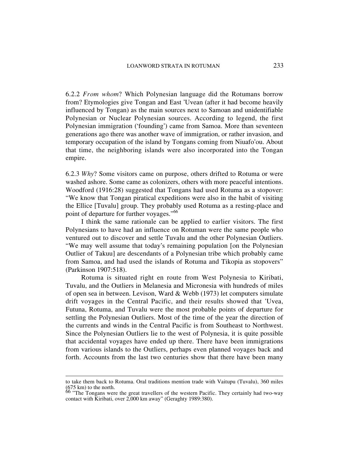6.2.2 *From whom*? Which Polynesian language did the Rotumans borrow from? Etymologies give Tongan and East 'Uvean (after it had become heavily influenced by Tongan) as the main sources next to Samoan and unidentifiable Polynesian or Nuclear Polynesian sources. According to legend, the first Polynesian immigration ('founding') came from Samoa. More than seventeen generations ago there was another wave of immigration, or rather invasion, and temporary occupation of the island by Tongans coming from Niuafo'ou. About that time, the neighboring islands were also incorporated into the Tongan empire.

6.2.3 *Why*? Some visitors came on purpose, others drifted to Rotuma or were washed ashore. Some came as colonizers, others with more peaceful intentions. Woodford (1916:28) suggested that Tongans had used Rotuma as a stopover: "We know that Tongan piratical expeditions were also in the habit of visiting the Ellice [Tuvalu] group. They probably used Rotuma as a resting-place and point of departure for further voyages."<sup>66</sup>

I think the same rationale can be applied to earlier visitors. The first Polynesians to have had an influence on Rotuman were the same people who ventured out to discover and settle Tuvalu and the other Polynesian Outliers. "We may well assume that today's remaining population [on the Polynesian Outlier of Takuu] are descendants of a Polynesian tribe which probably came from Samoa, and had used the islands of Rotuma and Tikopia as stopovers" (Parkinson 1907:518).

Rotuma is situated right en route from West Polynesia to Kiribati, Tuvalu, and the Outliers in Melanesia and Micronesia with hundreds of miles of open sea in between. Levison, Ward & Webb (1973) let computers simulate drift voyages in the Central Pacific, and their results showed that 'Uvea, Futuna, Rotuma, and Tuvalu were the most probable points of departure for settling the Polynesian Outliers. Most of the time of the year the direction of the currents and winds in the Central Pacific is from Southeast to Northwest. Since the Polynesian Outliers lie to the west of Polynesia, it is quite possible that accidental voyages have ended up there. There have been immigrations from various islands to the Outliers, perhaps even planned voyages back and forth. Accounts from the last two centuries show that there have been many

to take them back to Rotuma. Oral traditions mention trade with Vaitupu (Tuvalu), 360 miles (675 km) to the north.<br><sup>66</sup> "The Tongans were the great travellers of the western Pacific. They certainly had two-way

contact with Kiribati, over 2,000 km away" (Geraghty 1989:380).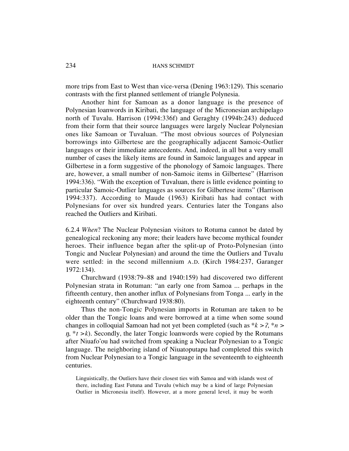more trips from East to West than vice-versa (Dening 1963:129). This scenario contrasts with the first planned settlement of triangle Polynesia.

Another hint for Samoan as a donor language is the presence of Polynesian loanwords in Kiribati, the language of the Micronesian archipelago north of Tuvalu. Harrison (1994:336f) and Geraghty (1994b:243) deduced from their form that their source languages were largely Nuclear Polynesian ones like Samoan or Tuvaluan. "The most obvious sources of Polynesian borrowings into Gilbertese are the geographically adjacent Samoic-Outlier languages or their immediate antecedents. And, indeed, in all but a very small number of cases the likely items are found in Samoic languages and appear in Gilbertese in a form suggestive of the phonology of Samoic languages. There are, however, a small number of non-Samoic items in Gilbertese" (Harrison 1994:336). "With the exception of Tuvaluan, there is little evidence pointing to particular Samoic-Outlier languages as sources for Gilbertese items" (Harrison 1994:337). According to Maude (1963) Kiribati has had contact with Polynesians for over six hundred years. Centuries later the Tongans also reached the Outliers and Kiribati.

6.2.4 *When*? The Nuclear Polynesian visitors to Rotuma cannot be dated by genealogical reckoning any more; their leaders have become mythical founder heroes. Their influence began after the split-up of Proto-Polynesian (into Tongic and Nuclear Polynesian) and around the time the Outliers and Tuvalu were settled: in the second millennium A.D. (Kirch 1984:237, Garanger 1972:134).

Churchward (1938:79–88 and 1940:159) had discovered two different Polynesian strata in Rotuman: "an early one from Samoa ... perhaps in the fifteenth century, then another influx of Polynesians from Tonga ... early in the eighteenth century" (Churchward 1938:80).

Thus the non-Tongic Polynesian imports in Rotuman are taken to be older than the Tongic loans and were borrowed at a time when some sound changes in colloquial Samoan had not yet been completed (such as  $*k > ?$ ,  $*n >$  $n, *t > k$ ). Secondly, the later Tongic loanwords were copied by the Rotumans after Niuafo'ou had switched from speaking a Nuclear Polynesian to a Tongic language. The neighboring island of Niuatoputapu had completed this switch from Nuclear Polynesian to a Tongic language in the seventeenth to eighteenth centuries.

Linguistically, the Outliers have their closest ties with Samoa and with islands west of there, including East Futuna and Tuvalu (which may be a kind of large Polynesian Outlier in Micronesia itself). However, at a more general level, it may be worth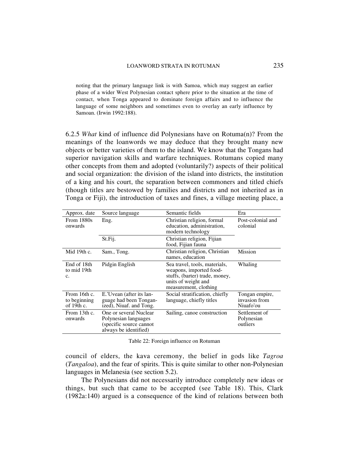noting that the primary language link is with Samoa, which may suggest an earlier phase of a wider West Polynesian contact sphere prior to the situation at the time of contact, when Tonga appeared to dominate foreign affairs and to influence the language of some neighbors and sometimes even to overlay an early influence by Samoan. (Irwin 1992:188).

6.2.5 *What* kind of influence did Polynesians have on Rotuma(n)? From the meanings of the loanwords we may deduce that they brought many new objects or better varieties of them to the island. We know that the Tongans had superior navigation skills and warfare techniques. Rotumans copied many other concepts from them and adopted (voluntarily?) aspects of their political and social organization: the division of the island into districts, the institution of a king and his court, the separation between commoners and titled chiefs (though titles are bestowed by families and districts and not inherited as in Tonga or Fiji), the introduction of taxes and fines, a village meeting place, a

| Approx. date                                  | Source language                                                                                    | Semantic fields                                                                                                                            | Era                                          |
|-----------------------------------------------|----------------------------------------------------------------------------------------------------|--------------------------------------------------------------------------------------------------------------------------------------------|----------------------------------------------|
| <b>From 1880s</b><br>onwards                  | Eng.                                                                                               | Christian religion, formal<br>education, administration,<br>modern technology                                                              | Post-colonial and<br>colonial                |
|                                               | St.Fij.                                                                                            | Christian religion, Fijian<br>food, Fijian fauna                                                                                           |                                              |
| Mid 19th c.                                   | Sam., Tong.                                                                                        | Christian religion, Christian<br>names, education                                                                                          | Mission                                      |
| End of 18th<br>to mid 19th<br>c.              | Pidgin English                                                                                     | Sea travel, tools, materials,<br>weapons, imported food-<br>stuffs, (barter) trade, money,<br>units of weight and<br>measurement, clothing | Whaling                                      |
| From 16th c.<br>to beginning<br>of 19th $c$ . | E.'Uvean (after its lan-<br>guage had been Tongan-<br>ized), Niuaf. and Tong.                      | Social stratification, chiefly<br>language, chiefly titles                                                                                 | Tongan empire,<br>invasion from<br>Niuafo'ou |
| From 13th c.<br>onwards                       | One or several Nuclear<br>Polynesian languages<br>(specific source cannot<br>always be identified) | Sailing, canoe construction                                                                                                                | Settlement of<br>Polynesian<br>outliers      |

Table 22: Foreign influence on Rotuman

council of elders, the kava ceremony, the belief in gods like *Tagroa* (*Tangaloa*), and the fear of spirits. This is quite similar to other non-Polynesian languages in Melanesia (see section 5.2).

The Polynesians did not necessarily introduce completely new ideas or things, but such that came to be accepted (see Table 18). This, Clark (1982a:140) argued is a consequence of the kind of relations between both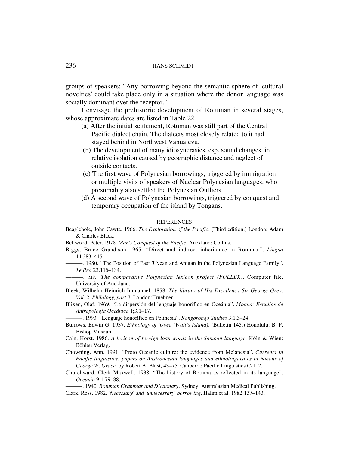groups of speakers: "Any borrowing beyond the semantic sphere of 'cultural novelties' could take place only in a situation where the donor language was socially dominant over the receptor."

I envisage the prehistoric development of Rotuman in several stages, whose approximate dates are listed in Table 22.

- (a) After the initial settlement, Rotuman was still part of the Central Pacific dialect chain. The dialects most closely related to it had stayed behind in Northwest Vanualevu.
- (b) The development of many idiosyncrasies, esp. sound changes, in relative isolation caused by geographic distance and neglect of outside contacts.
- (c) The first wave of Polynesian borrowings, triggered by immigration or multiple visits of speakers of Nuclear Polynesian languages, who presumably also settled the Polynesian Outliers.
- (d) A second wave of Polynesian borrowings, triggered by conquest and temporary occupation of the island by Tongans.

#### **REFERENCES**

- Beaglehole, John Cawte. 1966. *The Exploration of the Pacific.* (Third edition.) London: Adam & Charles Black.
- Bellwood, Peter. 1978. *Man's Conquest of the Pacific*. Auckland: Collins.
- Biggs, Bruce Grandison 1965. "Direct and indirect inheritance in Rotuman". *Lingua* 14.383–415.
	- ———. 1980. "The Position of East 'Uvean and Anutan in the Polynesian Language Family". *Te Reo* 23.115–134.

———. MS. *The comparative Polynesian lexicon project (POLLEX)*. Computer file. University of Auckland.

Bleek, Wilhelm Heinrich Immanuel. 1858. *The library of His Excellency Sir George Grey. Vol. 2. Philology, part 3*. London: Truebner.

Blixen, Olaf. 1969. "La dispersión del lenguaje honorífico en Oceánia". *Moana: Estudios de Antropologia Oceaånica* 1;3.1–17.

———. 1993. "Lenguaje honorÈåfico en Polinesia". *Rongorongo Studies* 3;1.3–24.

- Burrows, Edwin G. 1937. *Ethnology of 'Uvea (Wallis Island)*. (Bulletin 145.) Honolulu: B. P. Bishop Museum .
- Cain, Horst. 1986. *A lexicon of foreign loan-words in the Samoan language*. Köln & Wien: Böhlau Verlag.
- Chowning, Ann. 1991. "Proto Oceanic culture: the evidence from Melanesia". *Currents in Pacific linguistics: papers on Austronesian languages and ethnolinguistics in honour of George W. Grace* by Robert A. Blust, 43–75. Canberra: Pacific Linguistics C-117.
- Churchward, Clerk Maxwell. 1938. "The history of Rotuma as reflected in its language". *Oceania* 9;1.79–88.

———. 1940. *Rotuman Grammar and Dictionary*. Sydney: Australasian Medical Publishing. Clark, Ross. 1982. *'Necessary' and 'unnecessary' borrowing*, Halim et al. 1982:137–143.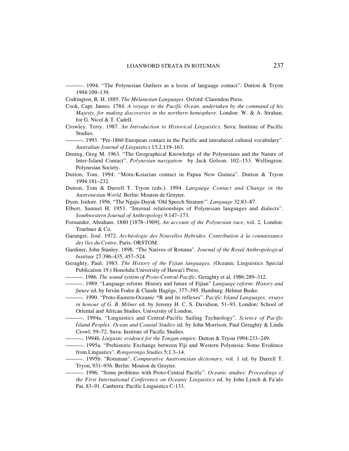———. 1994. "The Polynesian Outliers as a locus of language contact". Dutton & Tryon 1994:109–139.

Codrington, R. H. 1885. *The Melanesian Languages*. Oxford: Clarendon Press.

- Cook, Capt. James. 1784. *A voyage to the Pacific Ocean, undertaken by the command of his Majesty, for making discoveries in the northern hemisphere.* London: W. & A. Strahan, for G. Nicol & T. Cadell.
- Crowley, Terry. 1987. *An Introduction to Historical Linguistics*. Suva: Institute of Pacific Studies.
- ———. 1993. "Pre-1860 European contact in the Pacific and introduced cultural vocabulary". *Australian Journal of Linguistics* 13;2.119–163.
- Dening, Greg M. 1963. "The Geographical Knowledge of the Polynesians and the Nature of Inter-Island Contact". *Polynesian navigation* by Jack Golson. 102–153. Wellington: Polynesian Society.
- Dutton, Tom. 1994. "Motu-Koiarian contact in Papua New Guinea". Dutton & Tryon 1994:181–232.
- Dutton, Tom & Darrell T. Tryon (eds.). 1994. *Language Contact and Change in the Austronesian World*. Berlin: Mouton de Gruyter.

Dyen, Isidore. 1956. "The Ngaju-Dayak 'Old Speech Stratum'". *Language* 32.83–87.

- Elbert, Samuel H. 1953. "Internal relationships of Polynesian languages and dialects". *Southwestern Journal of Anthropology* 9.147–173.
- Fornander, Abraham. 1880 [1878–1909]. *An account of the Polynesian race,* vol. 2. London: Truebner & Co.
- Garanger, Joseå. 1972. *Archeåologie des Nouvelles Hebrides. Contribution a` la connaissance des È ∆les du Centre*. Paris: ORSTOM.
- Gardiner, John Stanley. 1898. "The Natives of Rotuma". *Journal of the Royal Anthropological Institute* 27.396–435, 457–524.
- Geraghty, Paul. 1983. *The History of the Fijian languages*. (Oceanic Linguistics Special Publication 19.) Honolulu: University of Hawai'i Press.
	- ———. 1986. *The sound system of Proto-Central-Pacific*, Geraghty et al. 1986: 289–312.
- ———. 1989. "Language reform: History and future of Fijian" *Language reform: History and future* ed. by István Fodor & Claude Hagège, 377–395. Hamburg: Helmut Buske.
- ———. 1990. "Proto-Eastern-Oceanic \*R and its reflexes*". Pacific Island Languages: essays in honour of G. B. Milner* ed. by Jeremy H. C. S. Davidson, 51–93. London: School of Oriental and African Studies, University of London.
- ———. 1994a. "Linguistics and Central-Pacific Sailing Technology". *Science of Pacific Island Peoples: Ocean and Coastal Studies* ed. by John Morrison, Paul Geraghty & Linda Crowl, 59–72. Suva: Institute of Pacific Studies.
- ———. 1994b. *Lingustic evidence for the Tongan empire*. Dutton & Tryon 1994:233–249.
- ———. 1995a. "Prehistoric Exchange between Fiji and Western Polynesia: Some Evidence from Lingustics". *Rongorongo Studies* 5;1.3–14.
- ———. 1995b. "Rotuman". *Comparative Austronesian dictionary,* vol. 1 ed. by Darrell T. Tryon, 931–936. Berlin: Mouton de Gruyter.
	- ———. 1996. "Some problems with Proto-Central Pacific". *Oceanic studies: Proceedings of the First International Conference on Oceanic Linguistics* ed. by John Lynch & Fa'afo Pat, 83–91. Canberra: Pacific Linguistics C-133.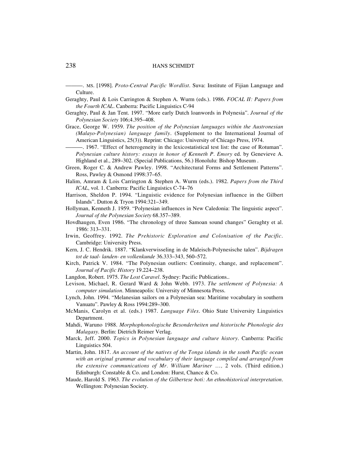———. MS. [1998]. *Proto-Central Pacific Wordlist*. Suva: Institute of Fijian Language and Culture.

- Geraghty, Paul & Lois Carrington & Stephen A. Wurm (eds.). 1986. *FOCAL II: Papers from the Fourth ICAL*. Canberra: Pacific Linguistics C-94
- Geraghty, Paul & Jan Tent. 1997. "More early Dutch loanwords in Polynesia". *Journal of the Polynesian Society* 106;4.395–408.
- Grace, George W. 1959. *The position of the Polynesian languages within the Austronesian (Malayo-Polynesian) language family*. (Supplement to the International Journal of American Linguistics, 25(3)). Reprint: Chicago: University of Chicago Press, 1974.
	- ———. 1967. "Effect of heterogeneity in the lexicostatistical test list: the case of Rotuman". *Polynesian culture history: essays in honor of Kenneth P. Emory* ed. by Genevieve A. Highland et al., 289–302. (Special Publications, 56.) Honolulu: Bishop Museum .
- Green, Roger C. & Andrew Pawley. 1998. "Architectural Forms and Settlement Patterns". Ross, Pawley & Osmond 1998:37–65.
- Halim, Amram & Lois Carrington & Stephen A. Wurm (eds.). 1982. *Papers from the Third ICAL*, vol. 1. Canberra: Pacific Linguistics C-74–76
- Harrison, Sheldon P. 1994. "Linguistic evidence for Polynesian influence in the Gilbert Islands". Dutton & Tryon 1994:321–349.
- Hollyman, Kenneth J. 1959. "Polynesian influences in New Caledonia: The linguistic aspect". *Journal of the Polynesian Society* 68.357–389.
- Hovdhaugen, Even 1986. "The chronology of three Samoan sound changes" Geraghty et al. 1986: 313–331.
- Irwin, Geoffrey. 1992. *The Prehistoric Exploration and Colonisation of the Pacific*. Cambridge: University Press.
- Kern, J. C. Hendrik. 1887. "Klankverwisseling in de Maleisch-Polynesische talen". *Bijdragen tot de taal- landen- en volkenkunde* 36.333–343, 560–572.
- Kirch, Patrick V. 1984. "The Polynesian outliers: Continuity, change, and replacement". *Journal of Pacific History* 19.224–238.
- Langdon, Robert. 1975. *The Lost Caravel*. Sydney: Pacific Publications..
- Levison, Michael, R. Gerard Ward & John Webb. 1973. *The settlement of Polynesia: A computer simulation*. Minneapolis: University of Minnesota Press.
- Lynch, John. 1994. "Melanesian sailors on a Polynesian sea: Maritime vocabulary in southern Vanuatu". Pawley & Ross 1994:289–300.
- McManis, Carolyn et al. (eds.) 1987. *Language Files*. Ohio State University Linguistics Department.
- Mahdi, Waruno 1988. *Morphophonologische Besonderheiten und historische Phonologie des Malagasy*. Berlin: Dietrich Reimer Verlag.
- Marck, Jeff. 2000. *Topics in Polynesian language and culture history*. Canberra: Pacific Linguistics 504.
- Martin, John. 1817. *An account of the natives of the Tonga islands in the south Pacific ocean with an original grammar and vocabulary of their language compiled and arranged from the extensive communications of Mr. William Mariner ..., 2 vols. (Third edition.)* Edinburgh: Constable & Co. and London: Hurst, Chance & Co.
- Maude, Harold S. 1963. *The evolution of the Gilbertese boti: An ethnohistorical interpretation*. Wellington: Polynesian Society.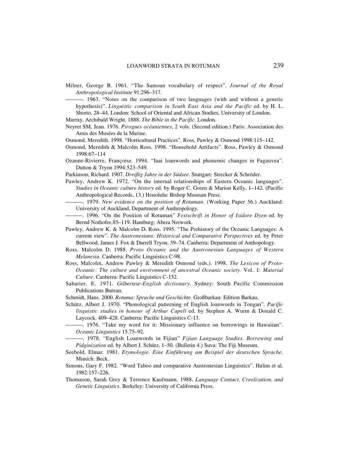Milner, George B. 1961. "The Samoan vocabulary of respect". *Journal of the Royal Anthropological Institute* 91.296–317.

———. 1963. "Notes on the comparison of two languages (with and without a genetic hypothesis)". *Linguistic comparison in South East Asia and the Pacific* ed. by H. L. Shorto, 28–44. London: School of Oriental and African Studies, University of London.

Murray, Archibald Wright. 1888. *The Bible in the Pacific*. London.

- Neyret SM, Jean. 1976. *Pirogues oceåaniennes*, 2 vols. (Second edition.) Paris: Association des Amis des Musées de la Marine.
- Osmond, Meredith. 1998. "Horticultural Practices". Ross, Pawley & Osmond 1998:115–142.
- Osmond, Meredith & Malcolm Ross. 1998. "Household Artifacts". Ross, Pawley & Osmond 1998:67–114
- Ozanne-Rivierre, Francçoise. 1994. "Iaai loanwords and phonemic changes in Fagauvea". Dutton & Tryon 1994: 523–549.

Parkinson, Richard. 1907. *Dreißig Jahre in der Südsee*. Stuttgart: Strecker & Schröder.

- Pawley, Andrew K. 1972. "On the internal relationships of Eastern Oceanic languages". *Studies in Oceanic culture history* ed. by Roger C. Green & Marion Kelly, 1–142. (Pacific Anthropological Records, 13.) Honolulu: Bishop Museum Press.
	- ———. 1979. *New evidence on the position of Rotuman*. (Working Paper 56.) Auckland: University of Auckland, Department of Anthropology.
- ———. 1996. "On the Position of Rotuman" *Festschrift in Honor of Isidore Dyen* ed. by Bernd Nothofer, 85–119. Hamburg: Abera Network.
- Pawley, Andrew K. & Malcolm D. Ross. 1995. "The Prehistory of the Oceanic Languages: A current view". *The Austronesians: Historical and Comparative Perspectives* ed. by Peter Bellwood, James J. Fox & Darrell Tryon, 39–74. Canberra: Department of Anthopology.
- Ross, Malcolm D. 1988. *Proto Oceanic and the Austronesian Languages of Western Melanesia*. Canberra: Pacific Linguistics C-98.
- Ross, Malcolm, Andrew Pawley & Meredith Osmond (eds.). 1998. *The Lexicon of Proto-Oceanic: The culture and environment of ancestral Oceanic society.* Vol. 1: *Material Culture*. Canberra: Pacific Linguistics C-152.
- Sabatier, E. 1971. *Gilbertese-English dictionary*. Sydney: South Pacific Commission Publications Bureau.
- Schmidt, Hans. 2000. *Rotuma: Sprache und Geschichte.* Großbarkau: Edition Barkau.
- Schütz, Albert J. 1970. "Phonological patterning of English loanwords in Tongan". *Pacific linguistic studies in honour of Arthur Capell* ed. by Stephen A. Wurm & Donald C. Laycock, 409–428. Canberra: Pacific Linguistics C-13.
	- ———. 1976. "Take my word for it: Missionary influence on borrowings in Hawaiian". *Oceanic Linguistics* 15.75–92.

———. 1978. "English Loanwords in Fijian" *Fijian Language Studies. Borrowing and Pidginization* ed. by Albert J. Schütz, 1–50. (Bulletin 4.) Suva: The Fiji Museum.

- Seebold, Elmar. 1981. *Etymologie. Eine Einführung am Beispiel der deutschen Sprache.* Munich: Beck.
- Simons, Gary F. 1982. "Word Taboo and comparative Austronesian Linguistics". Halim et al. 1982:157–226.
- Thomason, Sarah Grey & Terrence Kaufmann. 1988. *Language Contact, Creolization, and Genetic Linguistics*. Berkeley: University of California Press.